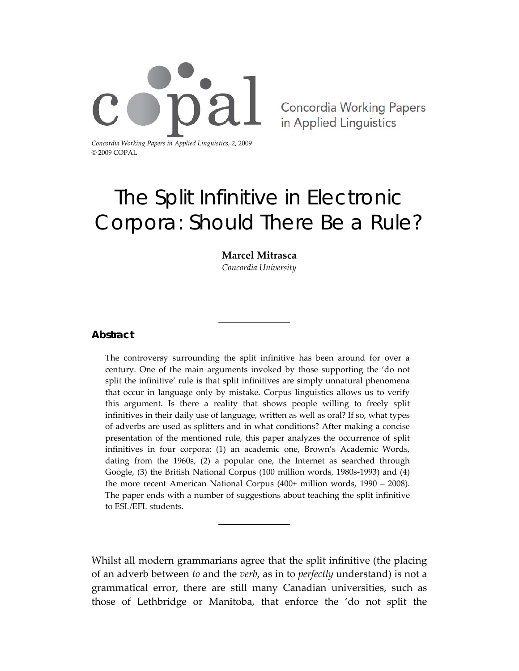

Concordia Working Papers in Applied Linguistics

# The Split Infinitive in Electronic Corpora: Should There Be a Rule?

### **Marcel Mitrasca**

*Concordia University*

### **Abstract**

The controversy surrounding the split infinitive has been around for over a century. One of the main arguments invoked by those supporting the 'do not split the infinitive' rule is that split infinitives are simply unnatural phenomena that occur in language only by mistake. Corpus linguistics allows us to verify this argument. Is there a reality that shows people willing to freely split infinitives in their daily use of language, written as well as oral? If so, what types of adverbs are used as splitters and in what conditions? After making a concise presentation of the mentioned rule, this paper analyzes the occurrence of split infinitives in four corpora: (1) an academic one, Brown's Academic Words, dating from the 1960s, (2) a popular one, the Internet as searched through Google, (3) the British National Corpus (100 million words, 1980s‐1993) and (4) the more recent American National Corpus (400+ million words, 1990 – 2008). The paper ends with a number of suggestions about teaching the split infinitive to ESL/EFL students.

Whilst all modern grammarians agree that the split infinitive (the placing of an adverb between *to* and the *verb*, as in to *perfectly* understand) is not a grammatical error, there are still many Canadian universities, such as those of Lethbridge or Manitoba, that enforce the 'do not split the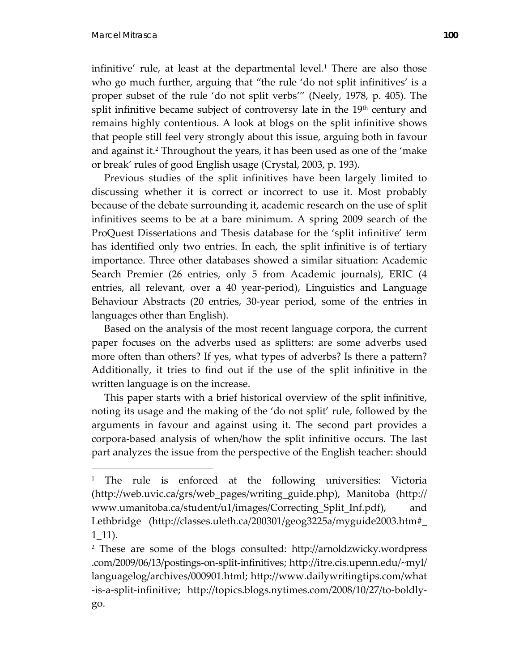$\overline{a}$ 

infinitive' rule, at least at the departmental level.<sup>1</sup> There are also those who go much further, arguing that "the rule 'do not split infinitives' is a proper subset of the rule 'do not split verbs'" (Neely, 1978, p. 405). The split infinitive became subject of controversy late in the  $19<sup>th</sup>$  century and remains highly contentious. A look at blogs on the split infinitive shows that people still feel very strongly about this issue, arguing both in favour and against it.<sup>2</sup> Throughout the years, it has been used as one of the 'make or break' rules of good English usage (Crystal, 2003, p. 193).

 Previous studies of the split infinitives have been largely limited to discussing whether it is correct or incorrect to use it. Most probably because of the debate surrounding it, academic research on the use of split infinitives seems to be at a bare minimum. A spring 2009 search of the ProQuest Dissertations and Thesis database for the 'split infinitive' term has identified only two entries. In each, the split infinitive is of tertiary importance. Three other databases showed a similar situation: Academic Search Premier (26 entries, only 5 from Academic journals), ERIC (4 entries, all relevant, over a 40 year‐period), Linguistics and Language Behaviour Abstracts (20 entries, 30‐year period, some of the entries in languages other than English).

 Based on the analysis of the most recent language corpora, the current paper focuses on the adverbs used as splitters: are some adverbs used more often than others? If yes, what types of adverbs? Is there a pattern? Additionally, it tries to find out if the use of the split infinitive in the written language is on the increase.

 This paper starts with a brief historical overview of the split infinitive, noting its usage and the making of the 'do not split' rule, followed by the arguments in favour and against using it. The second part provides a corpora‐based analysis of when/how the split infinitive occurs. The last part analyzes the issue from the perspective of the English teacher: should

<sup>&</sup>lt;sup>1</sup> The rule is enforced at the following universities: Victoria (http://web.uvic.ca/grs/web\_pages/writing\_guide.php), Manitoba (http:// www.umanitoba.ca/student/u1/images/Correcting\_Split\_Inf.pdf), and Lethbridge (http://classes.uleth.ca/200301/geog3225a/myguide2003.htm#\_ 1\_11).

<sup>2</sup> These are some of the blogs consulted: http://arnoldzwicky.wordpress .com/2009/06/13/postings‐on‐split‐infinitives; http://itre.cis.upenn.edu/~myl/ languagelog/archives/000901.html; http://www.dailywritingtips.com/what ‐is‐a‐split‐infinitive; http://topics.blogs.nytimes.com/2008/10/27/to‐boldly‐ go.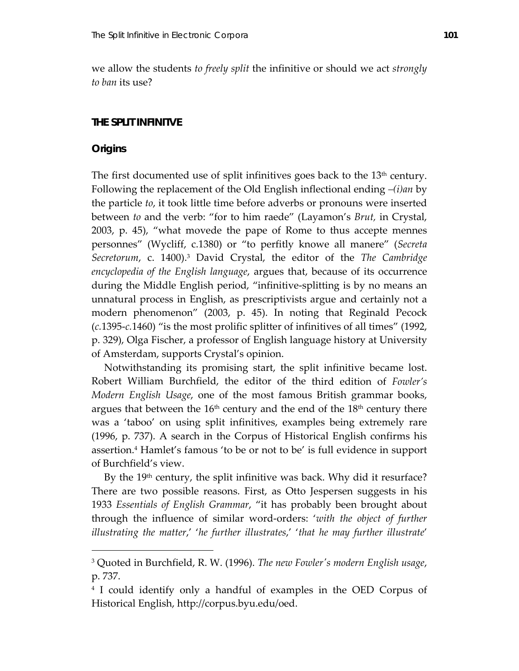we allow the students *to freely split* the infinitive or should we act *strongly to ban* its use?

### **THE SPLIT INFINITVE**

### **Origins**

<u>.</u>

The first documented use of split infinitives goes back to the  $13<sup>th</sup>$  century. Following the replacement of the Old English inflectional ending *–(i)an* by the particle *to*, it took little time before adverbs or pronouns were inserted between *to* and the verb: "for to him raede" (Layamon's *Brut,* in Crystal, 2003, p. 45), "what movede the pape of Rome to thus accepte mennes personnes" (Wycliff, c.1380) or "to perfitly knowe all manere" (*Secreta Secretorum*, c. 1400).3 David Crystal, the editor of the *The Cambridge encyclopedia of the English language*, argues that, because of its occurrence during the Middle English period, "infinitive‐splitting is by no means an unnatural process in English, as prescriptivists argue and certainly not a modern phenomenon" (2003, p. 45). In noting that Reginald Pecock (*c.*1395‐*c.*1460) "is the most prolific splitter of infinitives of all times" (1992, p. 329), Olga Fischer, a professor of English language history at University of Amsterdam, supports Crystal's opinion.

 Notwithstanding its promising start, the split infinitive became lost. Robert William Burchfield, the editor of the third edition of *Fowler's Modern English Usage*, one of the most famous British grammar books, argues that between the  $16<sup>th</sup>$  century and the end of the  $18<sup>th</sup>$  century there was a 'taboo' on using split infinitives, examples being extremely rare (1996, p. 737). A search in the Corpus of Historical English confirms his assertion.4 Hamlet's famous 'to be or not to be' is full evidence in support of Burchfield's view.

By the 19<sup>th</sup> century, the split infinitive was back. Why did it resurface? There are two possible reasons. First, as Otto Jespersen suggests in his 1933 *Essentials of English Grammar*, "it has probably been brought about through the influence of similar word‐orders: '*with the object of further illustrating the matter*,' '*he further illustrates*,' '*that he may further illustrate*'

<sup>3</sup> Quoted in Burchfield, R. W. (1996). *The new Fowlerʹs modern English usage*, p. 737.

<sup>4</sup> I could identify only a handful of examples in the OED Corpus of Historical English, http://corpus.byu.edu/oed.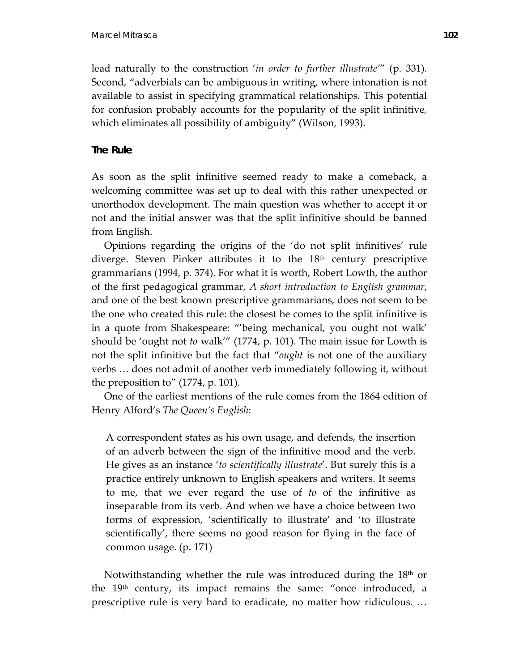lead naturally to the construction '*in order to further illustrate'*" (p. 331). Second, "adverbials can be ambiguous in writing, where intonation is not available to assist in specifying grammatical relationships. This potential for confusion probably accounts for the popularity of the split infinitive*,* which eliminates all possibility of ambiguity" (Wilson, 1993).

# **The Rule**

As soon as the split infinitive seemed ready to make a comeback, a welcoming committee was set up to deal with this rather unexpected or unorthodox development. The main question was whether to accept it or not and the initial answer was that the split infinitive should be banned from English.

 Opinions regarding the origins of the 'do not split infinitives' rule diverge. Steven Pinker attributes it to the  $18<sup>th</sup>$  century prescriptive grammarians (1994, p. 374). For what it is worth, Robert Lowth, the author of the first pedagogical grammar, *A short introduction to English grammar*, and one of the best known prescriptive grammarians, does not seem to be the one who created this rule: the closest he comes to the split infinitive is in a quote from Shakespeare: "'being mechanical, you ought not walk' should be 'ought not *to* walk'" (1774, p. 101). The main issue for Lowth is not the split infinitive but the fact that "*ought* is not one of the auxiliary verbs … does not admit of another verb immediately following it, without the preposition to" (1774, p. 101).

 One of the earliest mentions of the rule comes from the 1864 edition of Henry Alford's *The Queen's English*:

A correspondent states as his own usage, and defends, the insertion of an adverb between the sign of the infinitive mood and the verb. He gives as an instance '*to scientifically illustrate*'. But surely this is a practice entirely unknown to English speakers and writers. It seems to me, that we ever regard the use of *to* of the infinitive as inseparable from its verb. And when we have a choice between two forms of expression, 'scientifically to illustrate' and 'to illustrate scientifically', there seems no good reason for flying in the face of common usage. (p. 171)

Notwithstanding whether the rule was introduced during the  $18<sup>th</sup>$  or the  $19<sup>th</sup>$  century, its impact remains the same: "once introduced, a prescriptive rule is very hard to eradicate, no matter how ridiculous. …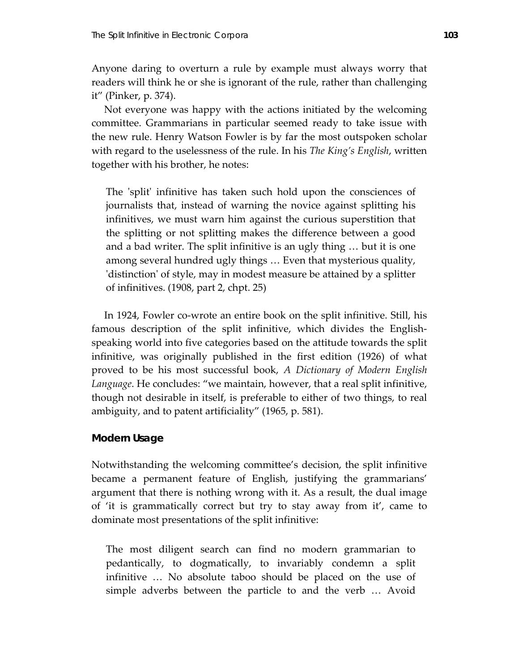Anyone daring to overturn a rule by example must always worry that readers will think he or she is ignorant of the rule, rather than challenging it" (Pinker, p. 374).

 Not everyone was happy with the actions initiated by the welcoming committee. Grammarians in particular seemed ready to take issue with the new rule. Henry Watson Fowler is by far the most outspoken scholar with regard to the uselessness of the rule. In his *The King's English*, written together with his brother, he notes:

The 'split' infinitive has taken such hold upon the consciences of journalists that, instead of warning the novice against splitting his infinitives, we must warn him against the curious superstition that the splitting or not splitting makes the difference between a good and a bad writer. The split infinitive is an ugly thing … but it is one among several hundred ugly things … Even that mysterious quality, 'distinction' of style, may in modest measure be attained by a splitter of infinitives. (1908, part 2, chpt. 25)

In 1924, Fowler co-wrote an entire book on the split infinitive. Still, his famous description of the split infinitive, which divides the English‐ speaking world into five categories based on the attitude towards the split infinitive, was originally published in the first edition (1926) of what proved to be his most successful book, *A Dictionary of Modern English Language*. He concludes: "we maintain, however, that a real split infinitive, though not desirable in itself, is preferable to either of two things, to real ambiguity, and to patent artificiality" (1965, p. 581).

### **Modern Usage**

Notwithstanding the welcoming committee's decision, the split infinitive became a permanent feature of English, justifying the grammarians' argument that there is nothing wrong with it. As a result, the dual image of 'it is grammatically correct but try to stay away from it', came to dominate most presentations of the split infinitive:

The most diligent search can find no modern grammarian to pedantically, to dogmatically, to invariably condemn a split infinitive … No absolute taboo should be placed on the use of simple adverbs between the particle to and the verb … Avoid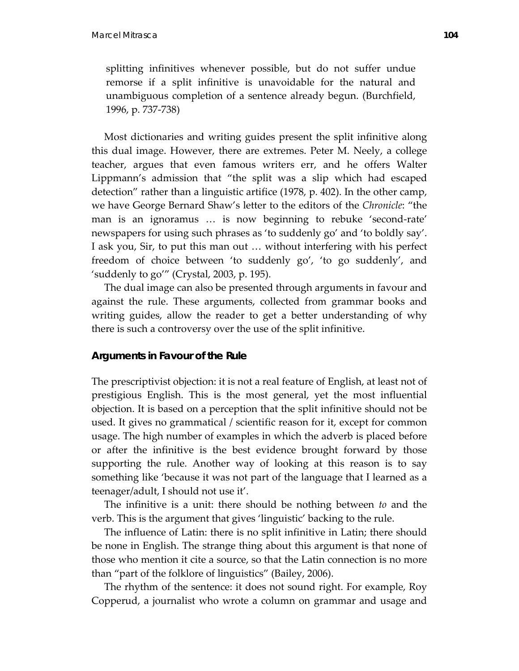splitting infinitives whenever possible, but do not suffer undue remorse if a split infinitive is unavoidable for the natural and unambiguous completion of a sentence already begun. (Burchfield, 1996, p. 737‐738)

 Most dictionaries and writing guides present the split infinitive along this dual image. However, there are extremes. Peter M. Neely, a college teacher, argues that even famous writers err, and he offers Walter Lippmann's admission that "the split was a slip which had escaped detection" rather than a linguistic artifice (1978, p. 402). In the other camp, we have George Bernard Shaw's letter to the editors of the *Chronicle*: "the man is an ignoramus ... is now beginning to rebuke 'second-rate' newspapers for using such phrases as 'to suddenly go' and 'to boldly say'. I ask you, Sir, to put this man out … without interfering with his perfect freedom of choice between 'to suddenly go', 'to go suddenly', and 'suddenly to go'" (Crystal, 2003, p. 195).

 The dual image can also be presented through arguments in favour and against the rule. These arguments, collected from grammar books and writing guides, allow the reader to get a better understanding of why there is such a controversy over the use of the split infinitive.

# **Arguments in Favour of the Rule**

The prescriptivist objection: it is not a real feature of English, at least not of prestigious English. This is the most general, yet the most influential objection. It is based on a perception that the split infinitive should not be used. It gives no grammatical / scientific reason for it, except for common usage. The high number of examples in which the adverb is placed before or after the infinitive is the best evidence brought forward by those supporting the rule. Another way of looking at this reason is to say something like 'because it was not part of the language that I learned as a teenager/adult, I should not use it'.

 The infinitive is a unit: there should be nothing between *to* and the verb. This is the argument that gives 'linguistic' backing to the rule.

 The influence of Latin: there is no split infinitive in Latin; there should be none in English. The strange thing about this argument is that none of those who mention it cite a source, so that the Latin connection is no more than "part of the folklore of linguistics" (Bailey, 2006).

 The rhythm of the sentence: it does not sound right. For example, Roy Copperud, a journalist who wrote a column on grammar and usage and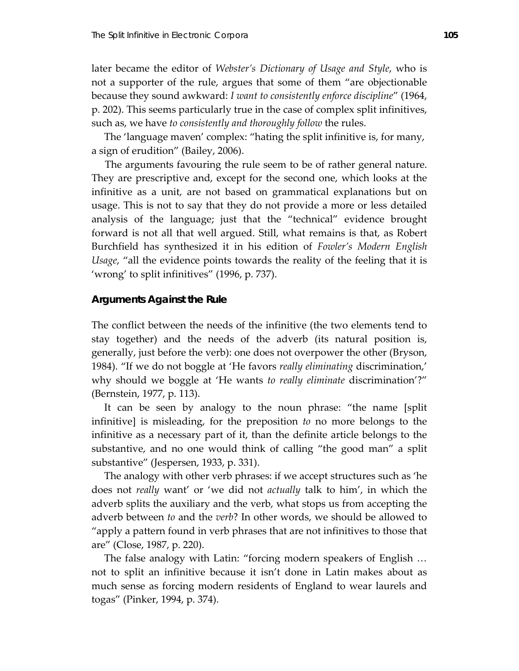later became the editor of *Webster's Dictionary of Usage and Style*, who is not a supporter of the rule, argues that some of them "are objectionable because they sound awkward: *I want to consistently enforce discipline*" (1964, p. 202). This seems particularly true in the case of complex split infinitives, such as, we have *to consistently and thoroughly follow* the rules.

 The 'language maven' complex: "hating the split infinitive is, for many, a sign of erudition" (Bailey, 2006).

The arguments favouring the rule seem to be of rather general nature. They are prescriptive and, except for the second one, which looks at the infinitive as a unit, are not based on grammatical explanations but on usage. This is not to say that they do not provide a more or less detailed analysis of the language; just that the "technical" evidence brought forward is not all that well argued. Still, what remains is that, as Robert Burchfield has synthesized it in his edition of *Fowler's Modern English Usage*, "all the evidence points towards the reality of the feeling that it is 'wrong' to split infinitives" (1996, p. 737).

### **Arguments Against the Rule**

The conflict between the needs of the infinitive (the two elements tend to stay together) and the needs of the adverb (its natural position is, generally, just before the verb): one does not overpower the other (Bryson, 1984). "If we do not boggle at 'He favors *really eliminating* discrimination,' why should we boggle at 'He wants *to really eliminate* discrimination'?" (Bernstein, 1977, p. 113).

 It can be seen by analogy to the noun phrase: "the name [split infinitive] is misleading, for the preposition *to* no more belongs to the infinitive as a necessary part of it, than the definite article belongs to the substantive, and no one would think of calling "the good man" a split substantive" (Jespersen, 1933, p. 331).

 The analogy with other verb phrases: if we accept structures such as 'he does not *really* want' or 'we did not *actually* talk to him', in which the adverb splits the auxiliary and the verb, what stops us from accepting the adverb between *to* and the *verb*? In other words, we should be allowed to "apply a pattern found in verb phrases that are not infinitives to those that are" (Close, 1987, p. 220).

 The false analogy with Latin: "forcing modern speakers of English … not to split an infinitive because it isn't done in Latin makes about as much sense as forcing modern residents of England to wear laurels and togas" (Pinker, 1994, p. 374).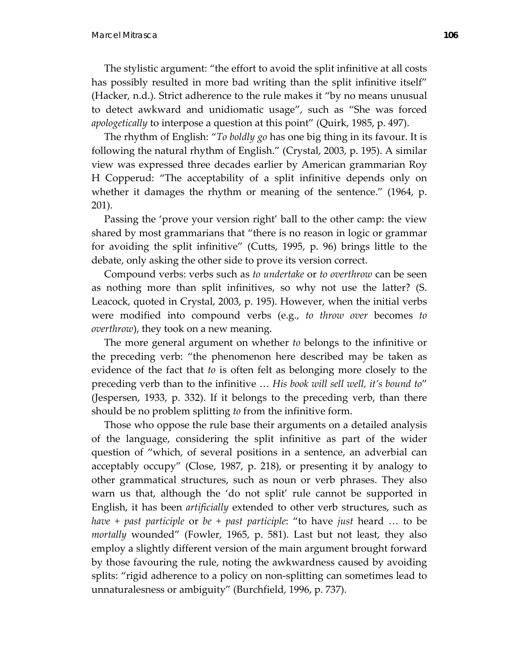The stylistic argument: "the effort to avoid the split infinitive at all costs has possibly resulted in more bad writing than the split infinitive itself" (Hacker, n.d.). Strict adherence to the rule makes it "by no means unusual to detect awkward and unidiomatic usage", such as "She was forced *apologetically* to interpose a question at this point" (Quirk, 1985, p. 497).

 The rhythm of English: "*To boldly go* has one big thing in its favour. It is following the natural rhythm of English." (Crystal, 2003, p. 195). A similar view was expressed three decades earlier by American grammarian Roy H Copperud: "The acceptability of a split infinitive depends only on whether it damages the rhythm or meaning of the sentence." (1964, p. 201).

 Passing the 'prove your version right' ball to the other camp: the view shared by most grammarians that "there is no reason in logic or grammar for avoiding the split infinitive" (Cutts, 1995, p. 96) brings little to the debate, only asking the other side to prove its version correct.

 Compound verbs: verbs such as *to undertake* or *to overthrow* can be seen as nothing more than split infinitives, so why not use the latter? (S. Leacock, quoted in Crystal, 2003, p. 195). However, when the initial verbs were modified into compound verbs (e.g., *to throw over* becomes *to overthrow*), they took on a new meaning.

 The more general argument on whether *to* belongs to the infinitive or the preceding verb: "the phenomenon here described may be taken as evidence of the fact that *to* is often felt as belonging more closely to the preceding verb than to the infinitive … *His book will sell well, it's bound to*" (Jespersen, 1933, p. 332). If it belongs to the preceding verb, than there should be no problem splitting *to* from the infinitive form.

 Those who oppose the rule base their arguments on a detailed analysis of the language, considering the split infinitive as part of the wider question of "which, of several positions in a sentence, an adverbial can acceptably occupy" (Close, 1987, p. 218), or presenting it by analogy to other grammatical structures, such as noun or verb phrases. They also warn us that, although the 'do not split' rule cannot be supported in English, it has been *artificially* extended to other verb structures, such as *have + past participle* or *be + past participle*: "to have *just* heard … to be *mortally* wounded" (Fowler, 1965, p. 581). Last but not least, they also employ a slightly different version of the main argument brought forward by those favouring the rule, noting the awkwardness caused by avoiding splits: "rigid adherence to a policy on non-splitting can sometimes lead to unnaturalesness or ambiguity" (Burchfield, 1996, p. 737).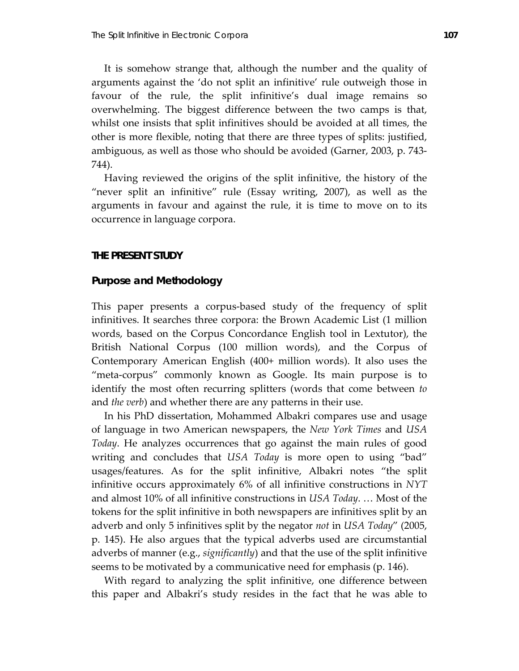It is somehow strange that, although the number and the quality of arguments against the 'do not split an infinitive' rule outweigh those in favour of the rule, the split infinitive's dual image remains so overwhelming. The biggest difference between the two camps is that, whilst one insists that split infinitives should be avoided at all times, the other is more flexible, noting that there are three types of splits: justified, ambiguous, as well as those who should be avoided (Garner, 2003, p. 743‐ 744).

 Having reviewed the origins of the split infinitive, the history of the "never split an infinitive" rule (Essay writing, 2007), as well as the arguments in favour and against the rule, it is time to move on to its occurrence in language corpora.

### **THE PRESENT STUDY**

### **Purpose and Methodology**

This paper presents a corpus‐based study of the frequency of split infinitives. It searches three corpora: the Brown Academic List (1 million words, based on the Corpus Concordance English tool in Lextutor), the British National Corpus (100 million words), and the Corpus of Contemporary American English (400+ million words). It also uses the "meta-corpus" commonly known as Google. Its main purpose is to identify the most often recurring splitters (words that come between *to* and *the verb*) and whether there are any patterns in their use.

 In his PhD dissertation, Mohammed Albakri compares use and usage of language in two American newspapers, the *New York Times* and *USA Today*. He analyzes occurrences that go against the main rules of good writing and concludes that *USA Today* is more open to using "bad" usages/features. As for the split infinitive, Albakri notes "the split infinitive occurs approximately 6% of all infinitive constructions in *NYT* and almost 10% of all infinitive constructions in *USA Today*. … Most of the tokens for the split infinitive in both newspapers are infinitives split by an adverb and only 5 infinitives split by the negator *not* in *USA Today*" (2005, p. 145). He also argues that the typical adverbs used are circumstantial adverbs of manner (e.g., *significantly*) and that the use of the split infinitive seems to be motivated by a communicative need for emphasis (p. 146).

 With regard to analyzing the split infinitive, one difference between this paper and Albakri's study resides in the fact that he was able to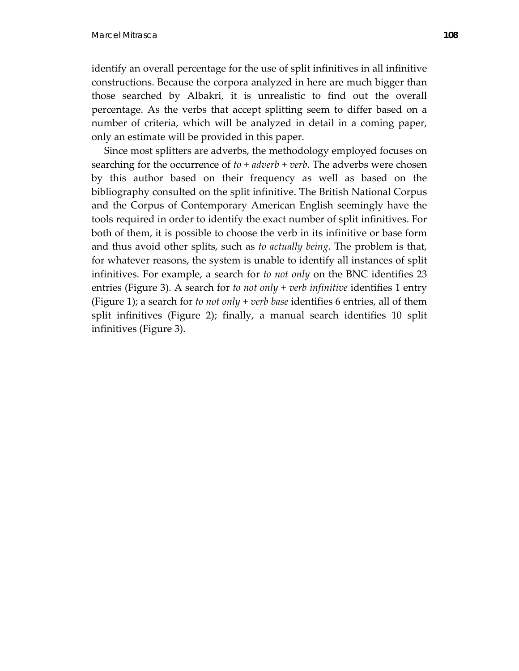identify an overall percentage for the use of split infinitives in all infinitive constructions. Because the corpora analyzed in here are much bigger than those searched by Albakri, it is unrealistic to find out the overall percentage. As the verbs that accept splitting seem to differ based on a number of criteria, which will be analyzed in detail in a coming paper, only an estimate will be provided in this paper.

 Since most splitters are adverbs, the methodology employed focuses on searching for the occurrence of  $to + adverb + verb$ . The adverbs were chosen by this author based on their frequency as well as based on the bibliography consulted on the split infinitive. The British National Corpus and the Corpus of Contemporary American English seemingly have the tools required in order to identify the exact number of split infinitives. For both of them, it is possible to choose the verb in its infinitive or base form and thus avoid other splits, such as *to actually being*. The problem is that, for whatever reasons, the system is unable to identify all instances of split infinitives. For example, a search for *to not only* on the BNC identifies 23 entries (Figure 3). A search for *to not only + verb infinitive* identifies 1 entry (Figure 1); a search for *to not only + verb base* identifies 6 entries, all of them split infinitives (Figure 2); finally, a manual search identifies 10 split infinitives (Figure 3).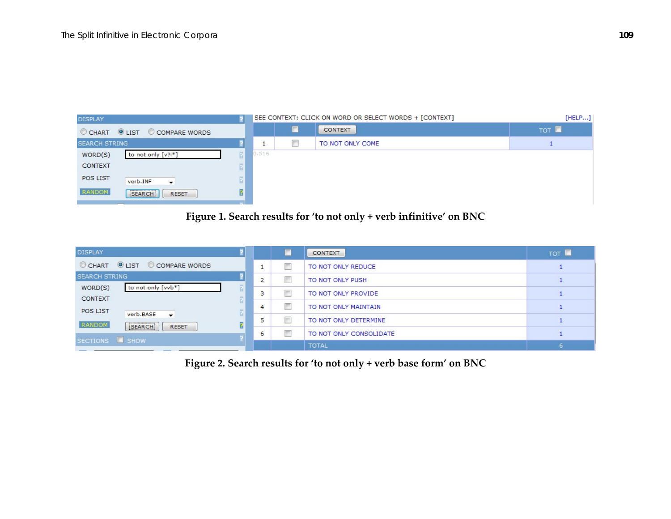

# **Figure 1. Search results for 'to not only <sup>+</sup> verb infinitive' on BNC**

| <b>DISPLAY</b>                                                 |   |   | <b>CONTEXT</b>          | TOT <b>N</b> |
|----------------------------------------------------------------|---|---|-------------------------|--------------|
| <b>OLIST COMPARE WORDS</b><br>CHART                            |   | П | TO NOT ONLY REDUCE      |              |
| <b>SEARCH STRING</b>                                           | 2 | П | TO NOT ONLY PUSH        |              |
| WORD(S)<br>to not only [vvb*]<br>CONTEXT                       |   |   | TO NOT ONLY PROVIDE     |              |
| <b>POS LIST</b><br>2                                           | 4 | П | TO NOT ONLY MAINTAIN    |              |
| verb.BASE<br>$\overline{\phantom{a}}$<br>2<br>RANDOM<br>SEARCH |   |   | TO NOT ONLY DETERMINE   |              |
| <b>RESET</b>                                                   | 6 | П | TO NOT ONLY CONSOLIDATE |              |
| SECTIONS <b>SHOW</b>                                           |   |   | <b>TOTAL</b>            |              |

**Figure 2. Search results for 'to not only <sup>+</sup> verb base form' on BNC**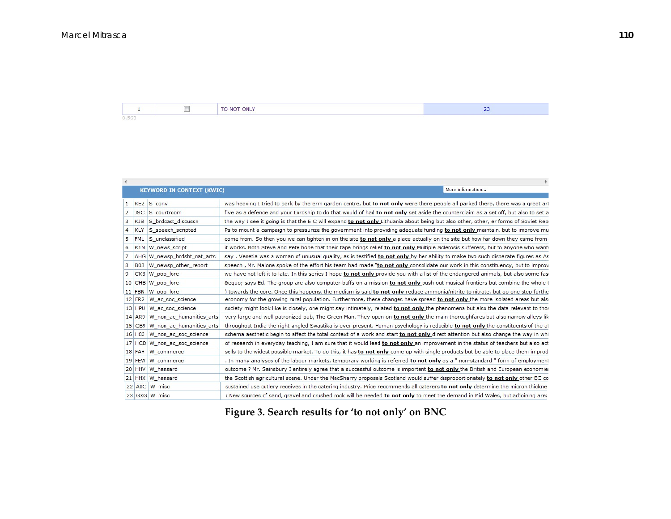$\overline{\mathbb{R}^3}$ TO NOT ONLY  $23<sup>°</sup>$  $\mathbf{1}$  $0.563$ 

|                |            | <b>KEYWORD IN CONTEXT (KWIC)</b> | More information                                                                                                                     |
|----------------|------------|----------------------------------|--------------------------------------------------------------------------------------------------------------------------------------|
|                |            |                                  |                                                                                                                                      |
| 1              |            | KE2 S conv                       | was heaving I tried to park by the erm garden centre, but to not only were there people all parked there, there was a great art      |
| $\overline{2}$ | JSC.       | S courtroom                      | five as a defence and your Lordship to do that would of had to not only set aside the counterclaim as a set off, but also to set a   |
| 3              | <b>KJS</b> | S brdcast discussn               | the way I see it going is that the E C will expand to not only Lithuania about being but also other, other, er forms of Soviet Repi  |
| $\overline{4}$ | <b>KLY</b> | S_speech_scripted                | Ps to mount a campaign to pressurize the government into providing adequate funding to not only maintain, but to improve mu          |
| 5              | <b>FML</b> | S unclassified                   | come from. So then you we can tighten in on the site to not only a place actually on the site but how far down they came from        |
| 6              | K1N        | W_news_script                    | it works. Both Steve and Pete hope that their tape brings relief to not only Multiple Sclerosis sufferers, but to anyone who want:   |
|                | AHG        | W_newsp_brdsht_nat_arts          | say, Venetia was a woman of unusual quality, as is testified to not only by her ability to make two such disparate figures as As     |
| 8              | <b>B03</b> | W newsp other report             | speech, Mr. Malone spoke of the effort his team had made "to not only consolidate our work in this constituency, but to improv       |
| 9              | CK3        | W_pop_lore                       | we have not left it to late. In this series I hope to not only provide you with a list of the endangered animals, but also some fase |
|                |            | 10 CHB W_pop_lore                | &equo says Ed. The group are also computer buffs on a mission to not only push out musical frontiers but combine the whole t         |
|                |            | 11 FBN W pop lore                | ) towards the core. Once this happens, the medium is said to not only reduce ammonia/nitrite to nitrate, but go one step furthe      |
|                | 12 FR2     | W_ac_soc_science                 | economy for the growing rural population. Furthermore, these changes have spread to not only the more isolated areas but alse        |
|                | 13 HPU     | W ac soc science                 | society might look like is closely, one might say intimately, related to not only the phenomena but also the data relevant to thos   |
|                | 14 AR9     | W non ac humanities arts         | very large and well-patronized pub, The Green Man. They open on to not only the main thoroughfares but also narrow alleys lik        |
|                | $15$ CB9   | W_non_ac_humanities_arts         | throughout India the right-angled Swastika is ever present. Human psychology is reducible to not only the constituents of the at     |
|                | 16 H83     | W non ac soc science             | schema aesthetic begin to affect the total context of a work and start to not only direct attention but also change the way in whi   |
|                |            | 17 HCD W non ac soc science      | of research in everyday teaching, I am sure that it would lead to not only an improvement in the status of teachers but also act     |
|                | 18 FAH     | W_commerce                       | sells to the widest possible market. To do this, it has to not only come up with single products but be able to place them in prod   |
|                |            | 19 FEW W commerce                | . In many analyses of the labour markets, temporary working is referred to not only as a " non-standard " form of employment         |
|                |            | 20 HHV W hansard                 | outcome? Mr. Sainsbury I entirely agree that a successful outcome is important to not only the British and European economie:        |
|                |            | 21 HHX W hansard                 | the Scottish agricultural scene. Under the MacSharry proposals Scotland would suffer disproportionately to not only other EC co      |
|                |            | 22 A0C W misc                    | sustained use cutlery receives in the catering industry. Price recommends all caterers to not only determine the micron thickne      |
|                |            | 23 GXG W misc                    | : New sources of sand, gravel and crushed rock will be needed to not only to meet the demand in Mid Wales, but adjoining area        |

**Figure 3. Search results for 'to not only' on BNC**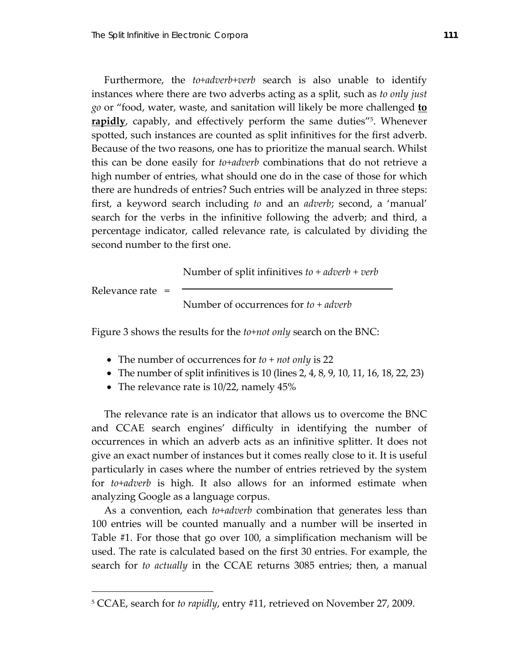Furthermore, the *to+adverb+verb* search is also unable to identify instances where there are two adverbs acting as a split, such as *to only just go* or "food, water, waste, and sanitation will likely be more challenged **to rapidly**, capably, and effectively perform the same duties<sup>"5</sup>. Whenever spotted, such instances are counted as split infinitives for the first adverb. Because of the two reasons, one has to prioritize the manual search. Whilst this can be done easily for *to+adverb* combinations that do not retrieve a high number of entries, what should one do in the case of those for which there are hundreds of entries? Such entries will be analyzed in three steps: first, a keyword search including *to* and an *adverb*; second, a 'manual' search for the verbs in the infinitive following the adverb; and third, a percentage indicator, called relevance rate, is calculated by dividing the second number to the first one.

Number of split infinitives *to + adverb + verb*

Relevance rate =

 $\overline{a}$ 

Number of occurrences for *to + adverb*

Figure 3 shows the results for the *to+not only* search on the BNC:

- The number of occurrences for *to + not only* is 22
- The number of split infinitives is 10 (lines 2, 4, 8, 9, 10, 11, 16, 18, 22, 23)
- The relevance rate is 10/22, namely 45%

 The relevance rate is an indicator that allows us to overcome the BNC and CCAE search engines' difficulty in identifying the number of occurrences in which an adverb acts as an infinitive splitter. It does not give an exact number of instances but it comes really close to it. It is useful particularly in cases where the number of entries retrieved by the system for *to+adverb* is high. It also allows for an informed estimate when analyzing Google as a language corpus.

 As a convention, each *to+adverb* combination that generates less than 100 entries will be counted manually and a number will be inserted in Table #1. For those that go over 100, a simplification mechanism will be used. The rate is calculated based on the first 30 entries. For example, the search for *to actually* in the CCAE returns 3085 entries; then, a manual

<sup>5</sup> CCAE, search for *to rapidly*, entry #11, retrieved on November 27, 2009.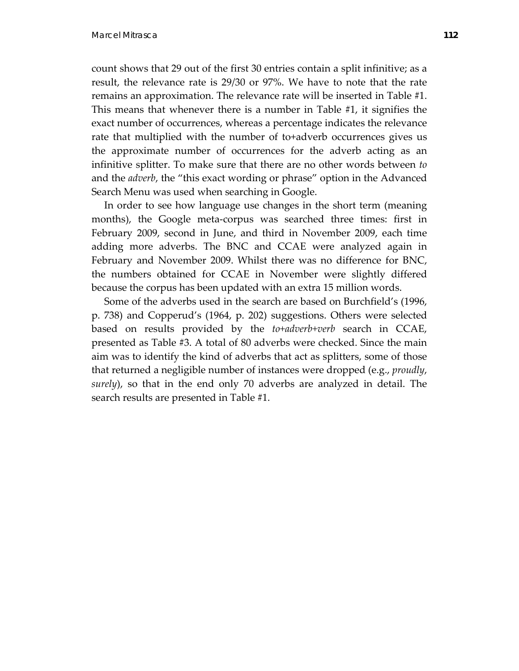count shows that 29 out of the first 30 entries contain a split infinitive; as a result, the relevance rate is 29/30 or 97%. We have to note that the rate remains an approximation. The relevance rate will be inserted in Table #1. This means that whenever there is a number in Table #1, it signifies the exact number of occurrences, whereas a percentage indicates the relevance rate that multiplied with the number of to+adverb occurrences gives us the approximate number of occurrences for the adverb acting as an infinitive splitter. To make sure that there are no other words between *to* and the *adverb*, the "this exact wording or phrase" option in the Advanced Search Menu was used when searching in Google.

 In order to see how language use changes in the short term (meaning months), the Google meta‐corpus was searched three times: first in February 2009, second in June, and third in November 2009, each time adding more adverbs. The BNC and CCAE were analyzed again in February and November 2009. Whilst there was no difference for BNC, the numbers obtained for CCAE in November were slightly differed because the corpus has been updated with an extra 15 million words.

 Some of the adverbs used in the search are based on Burchfield's (1996, p. 738) and Copperud's (1964, p. 202) suggestions. Others were selected based on results provided by the *to+adverb+verb* search in CCAE, presented as Table #3. A total of 80 adverbs were checked. Since the main aim was to identify the kind of adverbs that act as splitters, some of those that returned a negligible number of instances were dropped (e.g., *proudly*, *surely*), so that in the end only 70 adverbs are analyzed in detail. The search results are presented in Table #1.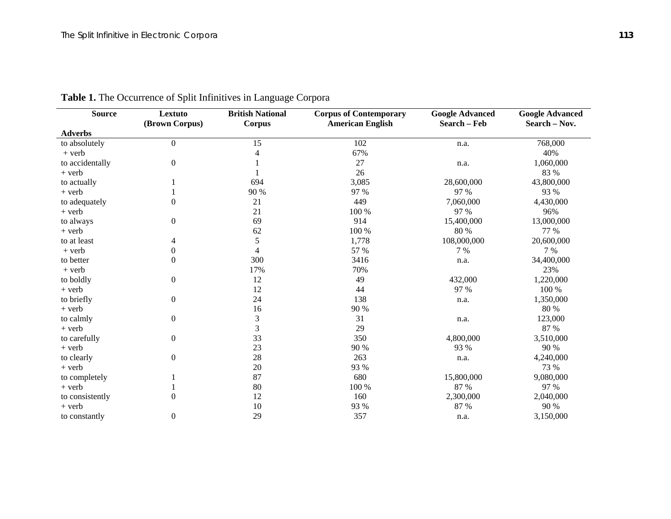| <b>Source</b>   | Lextuto<br>(Brown Corpus) | <b>British National</b><br><b>Corpus</b> | <b>Corpus of Contemporary</b><br><b>American English</b> | <b>Google Advanced</b><br>Search - Feb | <b>Google Advanced</b><br>Search - Nov. |
|-----------------|---------------------------|------------------------------------------|----------------------------------------------------------|----------------------------------------|-----------------------------------------|
| <b>Adverbs</b>  |                           |                                          |                                                          |                                        |                                         |
| to absolutely   | 0                         | 15                                       | 102                                                      | n.a.                                   | 768,000                                 |
| $+$ verb        |                           | 4                                        | 67%                                                      |                                        | 40%                                     |
| to accidentally | 0                         |                                          | 27                                                       | n.a.                                   | 1,060,000                               |
| $+$ verb        |                           |                                          | 26                                                       |                                        | 83 %                                    |
| to actually     |                           | 694                                      | 3,085                                                    | 28,600,000                             | 43,800,000                              |
| $+$ verb        |                           | 90 %                                     | 97 %                                                     | 97 %                                   | 93 %                                    |
| to adequately   | 0                         | 21                                       | 449                                                      | 7,060,000                              | 4,430,000                               |
| $+$ verb        |                           | 21                                       | 100 %                                                    | 97 %                                   | 96%                                     |
| to always       | 0                         | 69                                       | 914                                                      | 15,400,000                             | 13,000,000                              |
| $+$ verb        |                           | 62                                       | 100 %                                                    | 80 %                                   | 77 %                                    |
| to at least     | 4                         | 5                                        | 1,778                                                    | 108,000,000                            | 20,600,000                              |
| $+$ verb        | $\boldsymbol{0}$          | 4                                        | 57 %                                                     | 7 %                                    | 7 %                                     |
| to better       | $\boldsymbol{0}$          | 300                                      | 3416                                                     | n.a.                                   | 34,400,000                              |
| $+$ verb        |                           | 17%                                      | 70%                                                      |                                        | 23%                                     |
| to boldly       | 0                         | 12                                       | 49                                                       | 432,000                                | 1,220,000                               |
| $+$ verb        |                           | 12                                       | 44                                                       | 97 %                                   | 100 %                                   |
| to briefly      | $\mathbf{0}$              | 24                                       | 138                                                      | n.a.                                   | 1,350,000                               |
| $+$ verb        |                           | 16                                       | 90 %                                                     |                                        | 80 %                                    |
| to calmly       | 0                         | $\mathfrak{Z}$                           | 31                                                       | n.a.                                   | 123,000                                 |
| $+$ verb        |                           | 3                                        | 29                                                       |                                        | 87 %                                    |
| to carefully    | $\boldsymbol{0}$          | 33                                       | 350                                                      | 4,800,000                              | 3,510,000                               |
| $+$ verb        |                           | 23                                       | 90 %                                                     | 93 %                                   | 90 %                                    |
| to clearly      | $\boldsymbol{0}$          | 28                                       | 263                                                      | n.a.                                   | 4,240,000                               |
| $+$ verb        |                           | 20                                       | 93 %                                                     |                                        | 73 %                                    |
| to completely   |                           | 87                                       | 680                                                      | 15,800,000                             | 9,080,000                               |
| $+$ verb        |                           | 80                                       | 100 %                                                    | 87 %                                   | 97 %                                    |
| to consistently | $\overline{0}$            | 12                                       | 160                                                      | 2,300,000                              | 2,040,000                               |
| $+$ verb        |                           | 10                                       | 93 %                                                     | 87 %                                   | 90 %                                    |
| to constantly   | 0                         | 29                                       | 357                                                      | n.a.                                   | 3,150,000                               |

# **Table 1.** The Occurrence of Split Infinitives in Language Corpora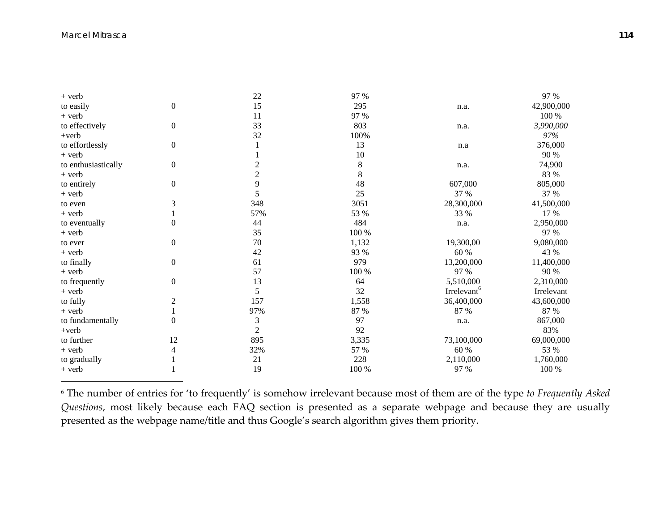| $+$ verb            |                  | 22             | 97 %  |                         | 97 %       |
|---------------------|------------------|----------------|-------|-------------------------|------------|
| to easily           | $\boldsymbol{0}$ | 15             | 295   | n.a.                    | 42,900,000 |
| $+$ verb            |                  | 11             | 97 %  |                         | 100 %      |
| to effectively      | $\boldsymbol{0}$ | 33             | 803   | n.a.                    | 3,990,000  |
| $+$ verb            |                  | 32             | 100%  |                         | 97%        |
| to effortlessly     | $\boldsymbol{0}$ |                | 13    | n.a                     | 376,000    |
| $+$ verb            |                  |                | 10    |                         | 90 %       |
| to enthusiastically | $\boldsymbol{0}$ | $\overline{c}$ | 8     | n.a.                    | 74,900     |
| $+$ verb            |                  | $\overline{2}$ | 8     |                         | 83 %       |
| to entirely         | $\boldsymbol{0}$ | 9              | 48    | 607,000                 | 805,000    |
| $+$ verb            |                  | 5              | 25    | 37 %                    | 37 %       |
| to even             | 3                | 348            | 3051  | 28,300,000              | 41,500,000 |
| $+$ verb            |                  | 57%            | 53 %  | 33 %                    | 17 %       |
| to eventually       | $\mathbf{0}$     | 44             | 484   | n.a.                    | 2,950,000  |
| $+$ verb            |                  | 35             | 100 % |                         | 97 %       |
| to ever             | $\boldsymbol{0}$ | 70             | 1,132 | 19,300,00               | 9,080,000  |
| $+$ verb            |                  | 42             | 93 %  | 60 %                    | 43 %       |
| to finally          | $\boldsymbol{0}$ | 61             | 979   | 13,200,000              | 11,400,000 |
| $+$ verb            |                  | 57             | 100 % | 97 %                    | 90 %       |
| to frequently       | $\boldsymbol{0}$ | 13             | 64    | 5,510,000               | 2,310,000  |
| $+$ verb            |                  | 5              | 32    | Irrelevant <sup>6</sup> | Irrelevant |
| to fully            | $\boldsymbol{2}$ | 157            | 1,558 | 36,400,000              | 43,600,000 |
| $+$ verb            | 1                | 97%            | 87 %  | 87 %                    | 87 %       |
| to fundamentally    | $\mathbf{0}$     | 3              | 97    | n.a.                    | 867,000    |
| $+$ verb            |                  | $\overline{2}$ | 92    |                         | 83%        |
| to further          | 12               | 895            | 3,335 | 73,100,000              | 69,000,000 |
| $+$ verb            | 4                | 32%            | 57 %  | 60 %                    | 53 %       |
| to gradually        |                  | 21             | 228   | 2,110,000               | 1,760,000  |
| $+$ verb            |                  | 19             | 100 % | 97 %                    | 100 %      |

6 The number of entries for 'to frequently' is somehow irrelevant because most of them are of the type *to Frequently Asked Questions*, most likely because each FAQ section is presented as a separate webpage and because they are usually presented as the webpage name/title and thus Google's search algorithm gives them priority.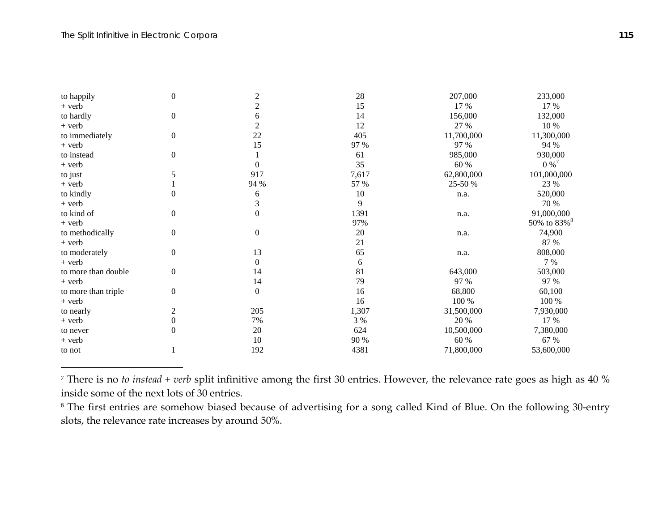| to happily          | $\boldsymbol{0}$ | $\overline{c}$   | 28    | 207,000    | 233,000                 |
|---------------------|------------------|------------------|-------|------------|-------------------------|
| $+$ verb            |                  | $\overline{c}$   | 15    | 17 %       | 17 %                    |
| to hardly           | $\boldsymbol{0}$ | 6                | 14    | 156,000    | 132,000                 |
| $+$ verb            |                  | $\overline{c}$   | 12    | 27 %       | 10 %                    |
| to immediately      | $\boldsymbol{0}$ | 22               | 405   | 11,700,000 | 11,300,000              |
| $+$ verb            |                  | 15               | 97 %  | 97 %       | 94 %                    |
| to instead          | $\boldsymbol{0}$ |                  | 61    | 985,000    | 930,000                 |
| + verb              |                  |                  | 35    | 60 %       | $0\%$ <sup>7</sup>      |
| to just             | 5                | 917              | 7,617 | 62,800,000 | 101,000,000             |
| $+$ verb            |                  | 94 %             | 57 %  | 25-50 %    | 23 %                    |
| to kindly           | $\boldsymbol{0}$ | 6                | 10    | n.a.       | 520,000                 |
| $+$ verb            |                  | $\mathfrak{Z}$   | 9     |            | 70 %                    |
| to kind of          | $\boldsymbol{0}$ | $\theta$         | 1391  | n.a.       | 91,000,000              |
| $+$ verb            |                  |                  | 97%   |            | 50% to 83% <sup>8</sup> |
| to methodically     | $\boldsymbol{0}$ | $\boldsymbol{0}$ | 20    | n.a.       | 74,900                  |
| $+$ verb            |                  |                  | 21    |            | 87 %                    |
| to moderately       | $\boldsymbol{0}$ | 13               | 65    | n.a.       | 808,000                 |
| $+$ verb            |                  | $\Omega$         | 6     |            | 7 %                     |
| to more than double | $\boldsymbol{0}$ | 14               | 81    | 643,000    | 503,000                 |
| $+$ verb            |                  | 14               | 79    | 97 %       | 97 %                    |
| to more than triple | $\boldsymbol{0}$ | $\Omega$         | 16    | 68,800     | 60,100                  |
| + verb              |                  |                  | 16    | 100 %      | 100 %                   |
| to nearly           | $\mathfrak{2}$   | 205              | 1,307 | 31,500,000 | 7,930,000               |
| $+$ verb            | 0                | 7%               | 3 %   | 20 %       | 17 %                    |
| to never            | $\boldsymbol{0}$ | 20               | 624   | 10,500,000 | 7,380,000               |
| + verb              |                  | 10               | 90 %  | 60 %       | 67 %                    |
| to not              |                  | 192              | 4381  | 71,800,000 | 53,600,000              |

7 There is no *to instead <sup>+</sup> verb* split infinitive among the first 30 entries. However, the relevance rate goes as high as 40 % inside some of the next lots of 30 entries.

 $^{\rm 8}$  The first entries are somehow biased because of advertising for a song called Kind of Blue. On the following 30-entry slots, the relevance rate increases by around 50%.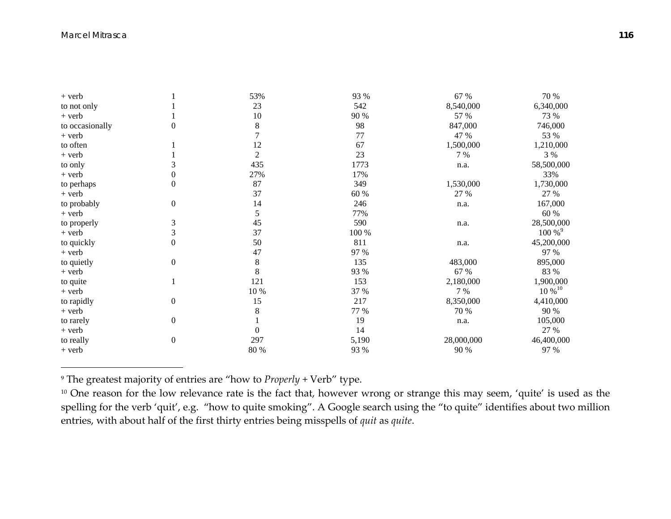| $+$ verb        |                  | 53%            | 93 %  | 67 %       | 70 %                 |
|-----------------|------------------|----------------|-------|------------|----------------------|
| to not only     |                  | 23             | 542   | 8,540,000  | 6,340,000            |
| $+$ verb        |                  | 10             | 90 %  | 57 %       | 73 %                 |
| to occasionally | $\mathbf{0}$     | 8              | 98    | 847,000    | 746,000              |
| $+$ verb        |                  |                | 77    | 47 %       | 53 %                 |
| to often        |                  | 12             | 67    | 1,500,000  | 1,210,000            |
| + verb          |                  | $\mathfrak{2}$ | 23    | 7 %        | 3 %                  |
| to only         | 3                | 435            | 1773  | n.a.       | 58,500,000           |
| $+$ verb        | $\boldsymbol{0}$ | 27%            | 17%   |            | 33%                  |
| to perhaps      | $\theta$         | 87             | 349   | 1,530,000  | 1,730,000            |
| $+$ verb        |                  | 37             | 60 %  | 27 %       | 27 %                 |
| to probably     | $\boldsymbol{0}$ | 14             | 246   | n.a.       | 167,000              |
| + verb          |                  | 5              | 77%   |            | 60 %                 |
| to properly     | 3                | 45             | 590   | n.a.       | 28,500,000           |
| $+$ verb        | 3                | 37             | 100 % |            | $100\%$ <sup>9</sup> |
| to quickly      | $\mathbf{0}$     | 50             | 811   | n.a.       | 45,200,000           |
| + verb          |                  | 47             | 97 %  |            | 97 %                 |
| to quietly      | $\boldsymbol{0}$ | $8\,$          | 135   | 483,000    | 895,000              |
| $+$ verb        |                  | 8              | 93 %  | 67 %       | 83 %                 |
| to quite        |                  | 121            | 153   | 2,180,000  | 1,900,000            |
| + verb          |                  | $10\,\%$       | 37 %  | 7 %        | $10\%^{10}$          |
| to rapidly      | $\boldsymbol{0}$ | 15             | 217   | 8,350,000  | 4,410,000            |
| $+$ verb        |                  | 8              | 77 %  | 70 %       | 90 %                 |
| to rarely       | $\boldsymbol{0}$ |                | 19    | n.a.       | 105,000              |
| $+$ verb        |                  | $\Omega$       | 14    |            | 27 %                 |
| to really       | $\boldsymbol{0}$ | 297            | 5,190 | 28,000,000 | 46,400,000           |
| + verb          |                  | 80 %           | 93 %  | 90 %       | 97 %                 |

<sup>9</sup> The greatest majority of entries are "how to *Properly* + Verb" type.

 $^{\rm 10}$  One reason for the low relevance rate is the fact that, however wrong or strange this may seem, 'quite' is used as the spelling for the verb 'quit', e.g. "how to quite smoking". A Google search using the "to quite" identifies about two million entries, with about half of the first thirty entries being misspells of *quit* as *quite*.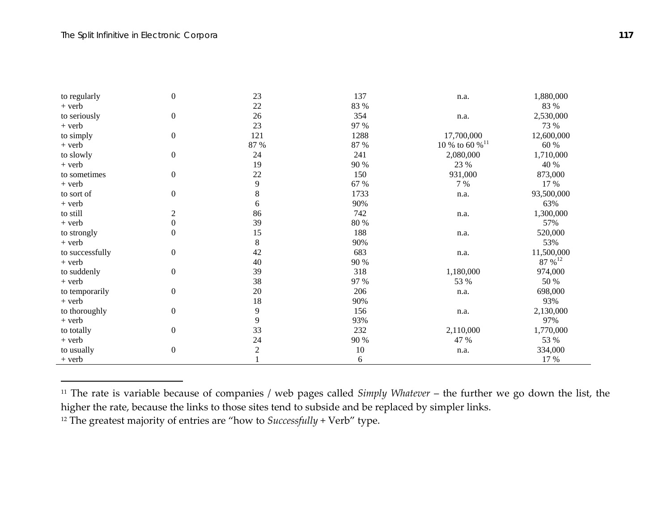| to regularly    | $\boldsymbol{0}$ | 23             | 137      | n.a.                       | 1,880,000    |
|-----------------|------------------|----------------|----------|----------------------------|--------------|
| $+$ verb        |                  | 22             | 83 %     |                            | 83 %         |
| to seriously    | $\boldsymbol{0}$ | 26             | 354      | n.a.                       | 2,530,000    |
| $+$ verb        |                  | 23             | 97 %     |                            | 73 %         |
| to simply       | $\boldsymbol{0}$ | 121            | 1288     | 17,700,000                 | 12,600,000   |
| $+$ verb        |                  | 87 %           | 87 %     | 10 % to 60 % <sup>11</sup> | 60 %         |
| to slowly       | $\boldsymbol{0}$ | 24             | 241      | 2,080,000                  | 1,710,000    |
| $+$ verb        |                  | 19             | 90 %     | 23 %                       | 40 %         |
| to sometimes    | $\boldsymbol{0}$ | 22             | 150      | 931,000                    | 873,000      |
| + verb          |                  | $\overline{9}$ | 67 %     | 7 %                        | 17 %         |
| to sort of      | $\boldsymbol{0}$ | $\,8\,$        | 1733     | n.a.                       | 93,500,000   |
| $+$ verb        |                  | 6              | 90%      |                            | 63%          |
| to still        | $\overline{2}$   | 86             | 742      | n.a.                       | 1,300,000    |
| $+$ verb        | $\boldsymbol{0}$ | 39             | $80\ \%$ |                            | 57%          |
| to strongly     | $\boldsymbol{0}$ | 15             | 188      | n.a.                       | 520,000      |
| $+$ verb        |                  | $\,8\,$        | 90%      |                            | 53%          |
| to successfully | $\boldsymbol{0}$ | 42             | 683      | n.a.                       | 11,500,000   |
| $+$ verb        |                  | 40             | 90 %     |                            | 87 % $^{12}$ |
| to suddenly     | $\boldsymbol{0}$ | 39             | 318      | 1,180,000                  | 974,000      |
| $+$ verb        |                  | 38             | 97 %     | 53 %                       | 50 %         |
| to temporarily  | $\boldsymbol{0}$ | 20             | 206      | n.a.                       | 698,000      |
| + verb          |                  | 18             | 90%      |                            | 93%          |
| to thoroughly   | $\boldsymbol{0}$ | 9              | 156      | n.a.                       | 2,130,000    |
| $+$ verb        |                  | 9              | 93%      |                            | 97%          |
| to totally      | $\boldsymbol{0}$ | 33             | 232      | 2,110,000                  | 1,770,000    |
| $+$ verb        |                  | 24             | 90 %     | 47 %                       | 53 %         |
| to usually      | $\boldsymbol{0}$ | $\overline{c}$ | 10       | n.a.                       | 334,000      |
| $+$ verb        |                  |                | 6        |                            | 17 %         |

11 The rate is variable because of companies / web pages called *Simply Whatever* – the further we go down the list, the higher the rate, because the links to those sites tend to subside and be replaced by simpler links.

12 The greatest majority of entries are "how to *Successfully* <sup>+</sup> Verb" type.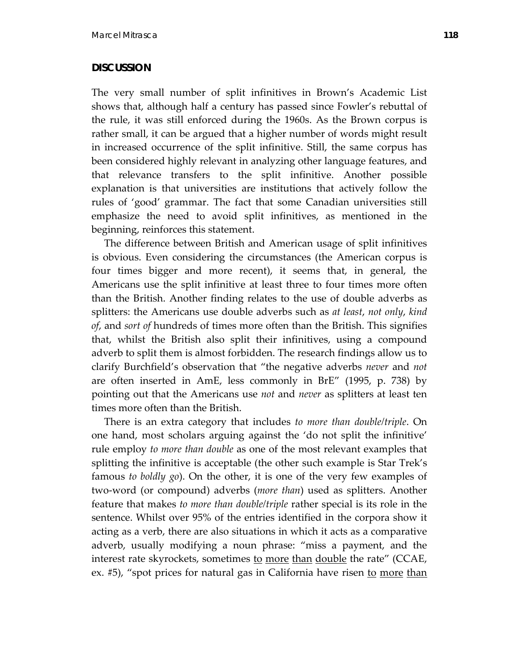## **DISCUSSION**

The very small number of split infinitives in Brown's Academic List shows that, although half a century has passed since Fowler's rebuttal of the rule, it was still enforced during the 1960s. As the Brown corpus is rather small, it can be argued that a higher number of words might result in increased occurrence of the split infinitive. Still, the same corpus has been considered highly relevant in analyzing other language features, and that relevance transfers to the split infinitive. Another possible explanation is that universities are institutions that actively follow the rules of 'good' grammar. The fact that some Canadian universities still emphasize the need to avoid split infinitives, as mentioned in the beginning, reinforces this statement.

 The difference between British and American usage of split infinitives is obvious. Even considering the circumstances (the American corpus is four times bigger and more recent), it seems that, in general, the Americans use the split infinitive at least three to four times more often than the British. Another finding relates to the use of double adverbs as splitters: the Americans use double adverbs such as *at least*, *not only*, *kind of*, and *sort of* hundreds of times more often than the British. This signifies that, whilst the British also split their infinitives, using a compound adverb to split them is almost forbidden. The research findings allow us to clarify Burchfield's observation that "the negative adverbs *never* and *not* are often inserted in AmE, less commonly in BrE" (1995, p. 738) by pointing out that the Americans use *not* and *never* as splitters at least ten times more often than the British.

 There is an extra category that includes *to more than double/triple*. On one hand, most scholars arguing against the 'do not split the infinitive' rule employ *to more than double* as one of the most relevant examples that splitting the infinitive is acceptable (the other such example is Star Trek's famous *to boldly go*). On the other, it is one of the very few examples of two‐word (or compound) adverbs (*more than*) used as splitters. Another feature that makes *to more than double/triple* rather special is its role in the sentence. Whilst over 95% of the entries identified in the corpora show it acting as a verb, there are also situations in which it acts as a comparative adverb, usually modifying a noun phrase: "miss a payment, and the interest rate skyrockets, sometimes to more than double the rate" (CCAE, ex. #5), "spot prices for natural gas in California have risen to more than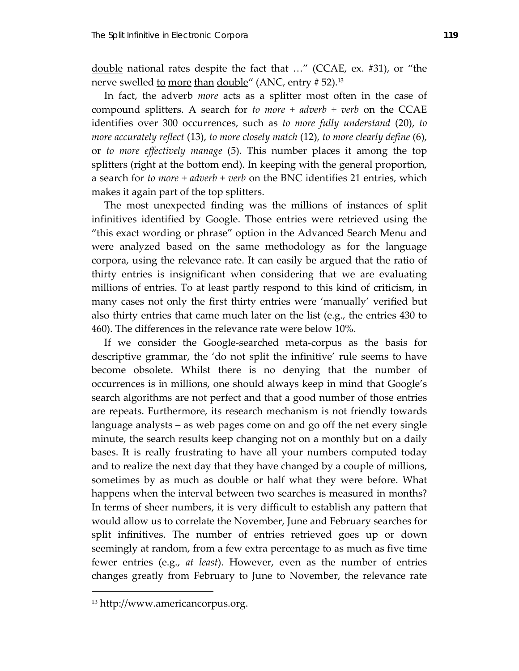double national rates despite the fact that …" (CCAE, ex. #31), or "the nerve swelled to more than double" (ANC, entry # 52).<sup>13</sup>

 In fact, the adverb *more* acts as a splitter most often in the case of compound splitters. A search for *to more + adverb + verb* on the CCAE identifies over 300 occurrences, such as *to more fully understand* (20), *to more accurately reflect* (13), *to more closely match* (12), *to more clearly define* (6), or *to more effectively manage* (5). This number places it among the top splitters (right at the bottom end). In keeping with the general proportion, a search for *to more + adverb + verb* on the BNC identifies 21 entries, which makes it again part of the top splitters.

 The most unexpected finding was the millions of instances of split infinitives identified by Google. Those entries were retrieved using the "this exact wording or phrase" option in the Advanced Search Menu and were analyzed based on the same methodology as for the language corpora, using the relevance rate. It can easily be argued that the ratio of thirty entries is insignificant when considering that we are evaluating millions of entries. To at least partly respond to this kind of criticism, in many cases not only the first thirty entries were 'manually' verified but also thirty entries that came much later on the list (e.g., the entries 430 to 460). The differences in the relevance rate were below 10%.

 If we consider the Google‐searched meta‐corpus as the basis for descriptive grammar, the 'do not split the infinitive' rule seems to have become obsolete. Whilst there is no denying that the number of occurrences is in millions, one should always keep in mind that Google's search algorithms are not perfect and that a good number of those entries are repeats. Furthermore, its research mechanism is not friendly towards language analysts – as web pages come on and go off the net every single minute, the search results keep changing not on a monthly but on a daily bases. It is really frustrating to have all your numbers computed today and to realize the next day that they have changed by a couple of millions, sometimes by as much as double or half what they were before. What happens when the interval between two searches is measured in months? In terms of sheer numbers, it is very difficult to establish any pattern that would allow us to correlate the November, June and February searches for split infinitives. The number of entries retrieved goes up or down seemingly at random, from a few extra percentage to as much as five time fewer entries (e.g., *at least*). However, even as the number of entries changes greatly from February to June to November, the relevance rate

 $\overline{a}$ 

<sup>13</sup> http://www.americancorpus.org.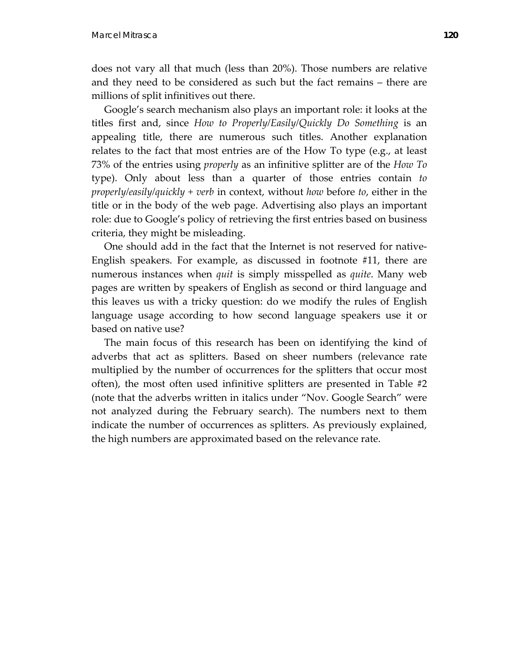does not vary all that much (less than 20%). Those numbers are relative and they need to be considered as such but the fact remains – there are millions of split infinitives out there.

 Google's search mechanism also plays an important role: it looks at the titles first and, since *How to Properly/Easily/Quickly Do Something* is an appealing title, there are numerous such titles. Another explanation relates to the fact that most entries are of the How To type (e.g., at least 73% of the entries using *properly* as an infinitive splitter are of the *How To* type). Only about less than a quarter of those entries contain *to properly/easily/quickly + verb* in context, without *how* before *to*, either in the title or in the body of the web page. Advertising also plays an important role: due to Google's policy of retrieving the first entries based on business criteria, they might be misleading.

One should add in the fact that the Internet is not reserved for native-English speakers. For example, as discussed in footnote #11, there are numerous instances when *quit* is simply misspelled as *quite*. Many web pages are written by speakers of English as second or third language and this leaves us with a tricky question: do we modify the rules of English language usage according to how second language speakers use it or based on native use?

 The main focus of this research has been on identifying the kind of adverbs that act as splitters. Based on sheer numbers (relevance rate multiplied by the number of occurrences for the splitters that occur most often), the most often used infinitive splitters are presented in Table #2 (note that the adverbs written in italics under "Nov. Google Search" were not analyzed during the February search). The numbers next to them indicate the number of occurrences as splitters. As previously explained, the high numbers are approximated based on the relevance rate.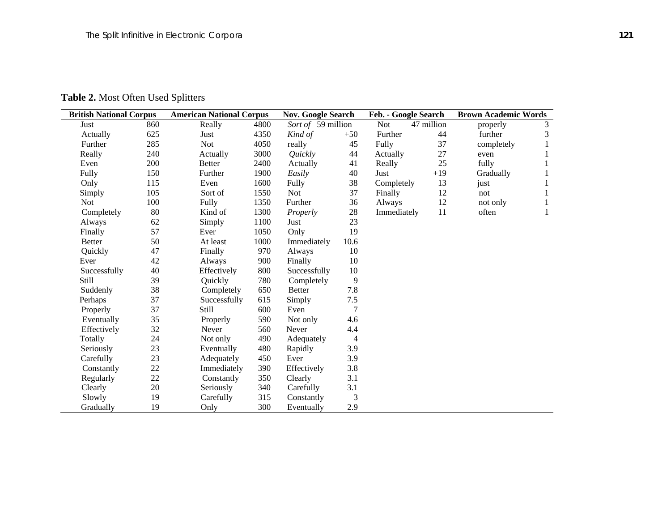Table 2. Most Often Used Splitters

| <b>British National Corpus</b> |     | <b>American National Corpus</b> |      | <b>Nov. Google Search</b> |       | Feb. - Google Search |            | <b>Brown Academic Words</b> |                |
|--------------------------------|-----|---------------------------------|------|---------------------------|-------|----------------------|------------|-----------------------------|----------------|
| Just                           | 860 | Really                          | 4800 | Sort of 59 million        |       | Not                  | 47 million | properly                    | $\mathfrak{Z}$ |
| Actually                       | 625 | Just                            | 4350 | Kind of                   | $+50$ | Further              | 44         | further                     | 3              |
| Further                        | 285 | <b>Not</b>                      | 4050 | really                    | 45    | Fully                | 37         | completely                  | $\mathbf{1}$   |
| Really                         | 240 | Actually                        | 3000 | Quickly                   | 44    | Actually             | 27         | even                        | 1              |
| Even                           | 200 | <b>Better</b>                   | 2400 | Actually                  | 41    | Really               | 25         | fully                       | 1              |
| Fully                          | 150 | Further                         | 1900 | Easily                    | 40    | Just                 | $+19$      | Gradually                   | $\mathbf{1}$   |
| Only                           | 115 | Even                            | 1600 | Fully                     | 38    | Completely           | 13         | just                        | 1              |
| Simply                         | 105 | Sort of                         | 1550 | <b>Not</b>                | 37    | Finally              | 12         | not                         | 1              |
| <b>Not</b>                     | 100 | Fully                           | 1350 | Further                   | 36    | Always               | 12         | not only                    | 1              |
| Completely                     | 80  | Kind of                         | 1300 | Properly                  | 28    | Immediately          | 11         | often                       | 1              |
| Always                         | 62  | Simply                          | 1100 | Just                      | 23    |                      |            |                             |                |
| Finally                        | 57  | Ever                            | 1050 | Only                      | 19    |                      |            |                             |                |
| <b>Better</b>                  | 50  | At least                        | 1000 | Immediately               | 10.6  |                      |            |                             |                |
| Quickly                        | 47  | Finally                         | 970  | Always                    | 10    |                      |            |                             |                |
| Ever                           | 42  | Always                          | 900  | Finally                   | 10    |                      |            |                             |                |
| Successfully                   | 40  | Effectively                     | 800  | Successfully              | 10    |                      |            |                             |                |
| Still                          | 39  | Quickly                         | 780  | Completely                | 9     |                      |            |                             |                |
| Suddenly                       | 38  | Completely                      | 650  | <b>Better</b>             | 7.8   |                      |            |                             |                |
| Perhaps                        | 37  | Successfully                    | 615  | Simply                    | 7.5   |                      |            |                             |                |
| Properly                       | 37  | Still                           | 600  | Even                      | 7     |                      |            |                             |                |
| Eventually                     | 35  | Properly                        | 590  | Not only                  | 4.6   |                      |            |                             |                |
| Effectively                    | 32  | Never                           | 560  | Never                     | 4.4   |                      |            |                             |                |
| Totally                        | 24  | Not only                        | 490  | Adequately                | 4     |                      |            |                             |                |
| Seriously                      | 23  | Eventually                      | 480  | Rapidly                   | 3.9   |                      |            |                             |                |
| Carefully                      | 23  | Adequately                      | 450  | Ever                      | 3.9   |                      |            |                             |                |
| Constantly                     | 22  | Immediately                     | 390  | Effectively               | 3.8   |                      |            |                             |                |
| Regularly                      | 22  | Constantly                      | 350  | Clearly                   | 3.1   |                      |            |                             |                |
| Clearly                        | 20  | Seriously                       | 340  | Carefully                 | 3.1   |                      |            |                             |                |
| Slowly                         | 19  | Carefully                       | 315  | Constantly                | 3     |                      |            |                             |                |
| Gradually                      | 19  | Only                            | 300  | Eventually                | 2.9   |                      |            |                             |                |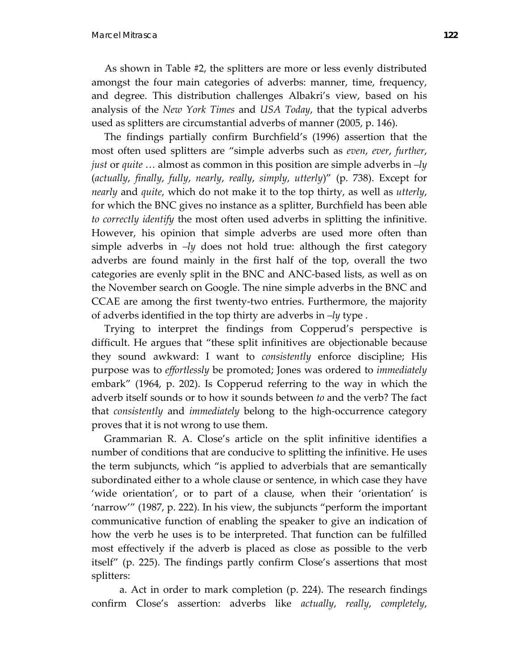As shown in Table #2, the splitters are more or less evenly distributed amongst the four main categories of adverbs: manner, time, frequency, and degree. This distribution challenges Albakri's view, based on his analysis of the *New York Times* and *USA Today*, that the typical adverbs used as splitters are circumstantial adverbs of manner (2005, p. 146).

 The findings partially confirm Burchfield's (1996) assertion that the most often used splitters are "simple adverbs such as *even*, *ever*, *further*, *just* or *quite* … almost as common in this position are simple adverbs in *–ly* (*actually*, *finally*, *fully*, *nearly*, *really*, *simply*, *utterly*)" (p. 738). Except for *nearly* and *quite*, which do not make it to the top thirty, as well as *utterly*, for which the BNC gives no instance as a splitter, Burchfield has been able *to correctly identify* the most often used adverbs in splitting the infinitive. However, his opinion that simple adverbs are used more often than simple adverbs in *–ly* does not hold true: although the first category adverbs are found mainly in the first half of the top, overall the two categories are evenly split in the BNC and ANC‐based lists, as well as on the November search on Google. The nine simple adverbs in the BNC and CCAE are among the first twenty‐two entries. Furthermore, the majority of adverbs identified in the top thirty are adverbs in *–ly* type .

 Trying to interpret the findings from Copperud's perspective is difficult. He argues that "these split infinitives are objectionable because they sound awkward: I want to *consistently* enforce discipline; His purpose was to *effortlessly* be promoted; Jones was ordered to *immediately* embark" (1964, p. 202). Is Copperud referring to the way in which the adverb itself sounds or to how it sounds between *to* and the verb? The fact that *consistently* and *immediately* belong to the high‐occurrence category proves that it is not wrong to use them.

 Grammarian R. A. Close's article on the split infinitive identifies a number of conditions that are conducive to splitting the infinitive. He uses the term subjuncts, which "is applied to adverbials that are semantically subordinated either to a whole clause or sentence, in which case they have 'wide orientation', or to part of a clause, when their 'orientation' is 'narrow'" (1987, p. 222). In his view, the subjuncts "perform the important communicative function of enabling the speaker to give an indication of how the verb he uses is to be interpreted. That function can be fulfilled most effectively if the adverb is placed as close as possible to the verb itself" (p. 225). The findings partly confirm Close's assertions that most splitters:

a. Act in order to mark completion (p. 224). The research findings confirm Close's assertion: adverbs like *actually*, *really*, *completely*,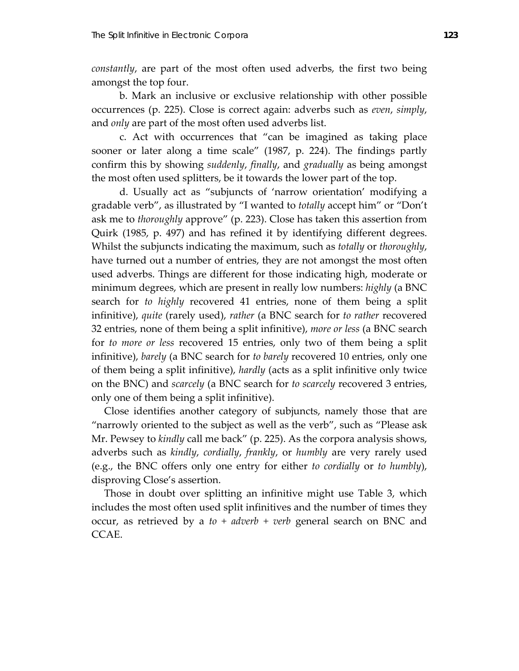*constantly*, are part of the most often used adverbs, the first two being amongst the top four.

b. Mark an inclusive or exclusive relationship with other possible occurrences (p. 225). Close is correct again: adverbs such as *even*, *simply*, and *only* are part of the most often used adverbs list.

c. Act with occurrences that "can be imagined as taking place sooner or later along a time scale" (1987, p. 224). The findings partly confirm this by showing *suddenly*, *finally*, and *gradually* as being amongst the most often used splitters, be it towards the lower part of the top.

d. Usually act as "subjuncts of 'narrow orientation' modifying a gradable verb", as illustrated by "I wanted to *totally* accept him" or "Don't ask me to *thoroughly* approve" (p. 223). Close has taken this assertion from Quirk (1985, p. 497) and has refined it by identifying different degrees. Whilst the subjuncts indicating the maximum, such as *totally* or *thoroughly*, have turned out a number of entries, they are not amongst the most often used adverbs. Things are different for those indicating high, moderate or minimum degrees, which are present in really low numbers: *highly* (a BNC search for *to highly* recovered 41 entries, none of them being a split infinitive), *quite* (rarely used), *rather* (a BNC search for *to rather* recovered 32 entries, none of them being a split infinitive), *more or less* (a BNC search for *to more or less* recovered 15 entries, only two of them being a split infinitive), *barely* (a BNC search for *to barely* recovered 10 entries, only one of them being a split infinitive), *hardly* (acts as a split infinitive only twice on the BNC) and *scarcely* (a BNC search for *to scarcely* recovered 3 entries, only one of them being a split infinitive).

 Close identifies another category of subjuncts, namely those that are "narrowly oriented to the subject as well as the verb", such as "Please ask Mr. Pewsey to *kindly* call me back" (p. 225). As the corpora analysis shows, adverbs such as *kindly*, *cordially*, *frankly*, or *humbly* are very rarely used (e.g., the BNC offers only one entry for either *to cordially* or *to humbly*), disproving Close's assertion.

 Those in doubt over splitting an infinitive might use Table 3, which includes the most often used split infinitives and the number of times they occur, as retrieved by a *to + adverb + verb* general search on BNC and CCAE.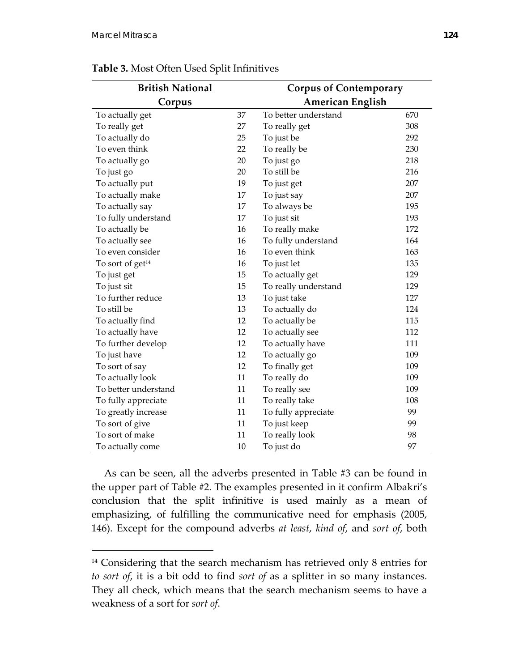<u>.</u>

| <b>British National</b>      |    | <b>Corpus of Contemporary</b> |     |
|------------------------------|----|-------------------------------|-----|
| Corpus                       |    | <b>American English</b>       |     |
| To actually get              | 37 | To better understand          | 670 |
| To really get                | 27 | To really get                 | 308 |
| To actually do               | 25 | To just be                    | 292 |
| To even think                | 22 | To really be                  | 230 |
| To actually go               | 20 | To just go                    | 218 |
| To just go                   | 20 | To still be                   | 216 |
| To actually put              | 19 | To just get                   | 207 |
| To actually make             | 17 | To just say                   | 207 |
| To actually say              | 17 | To always be                  | 195 |
| To fully understand          | 17 | To just sit                   | 193 |
| To actually be               | 16 | To really make                | 172 |
| To actually see              | 16 | To fully understand           | 164 |
| To even consider             | 16 | To even think                 | 163 |
| To sort of get <sup>14</sup> | 16 | To just let                   | 135 |
| To just get                  | 15 | To actually get               | 129 |
| To just sit                  | 15 | To really understand          | 129 |
| To further reduce            | 13 | To just take                  | 127 |
| To still be                  | 13 | To actually do                | 124 |
| To actually find             | 12 | To actually be                | 115 |
| To actually have             | 12 | To actually see               | 112 |
| To further develop           | 12 | To actually have              | 111 |
| To just have                 | 12 | To actually go                | 109 |
| To sort of say               | 12 | To finally get                | 109 |
| To actually look             | 11 | To really do                  | 109 |
| To better understand         | 11 | To really see                 | 109 |
| To fully appreciate          | 11 | To really take                | 108 |
| To greatly increase          | 11 | To fully appreciate           | 99  |
| To sort of give              | 11 | To just keep                  | 99  |
| To sort of make              | 11 | To really look                | 98  |
| To actually come             | 10 | To just do                    | 97  |

**Table 3.** Most Often Used Split Infinitives

 As can be seen, all the adverbs presented in Table #3 can be found in the upper part of Table #2. The examples presented in it confirm Albakri's conclusion that the split infinitive is used mainly as a mean of emphasizing, of fulfilling the communicative need for emphasis (2005, 146). Except for the compound adverbs *at least*, *kind of*, and *sort of*, both

<sup>&</sup>lt;sup>14</sup> Considering that the search mechanism has retrieved only 8 entries for *to sort of*, it is a bit odd to find *sort of* as a splitter in so many instances. They all check, which means that the search mechanism seems to have a weakness of a sort for *sort of*.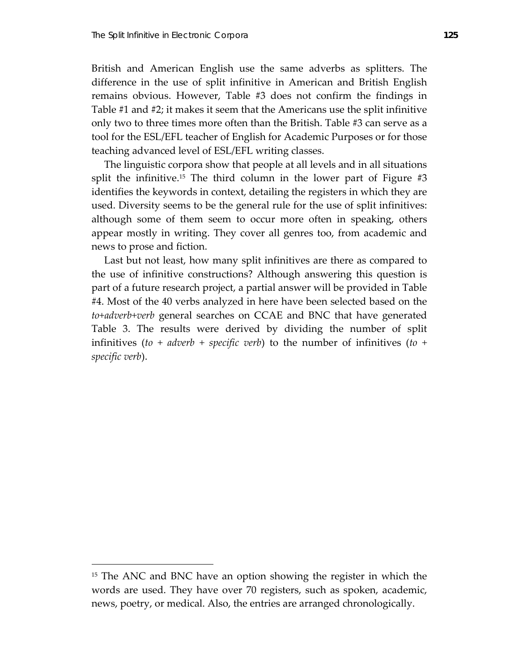British and American English use the same adverbs as splitters. The difference in the use of split infinitive in American and British English remains obvious. However, Table #3 does not confirm the findings in Table #1 and #2; it makes it seem that the Americans use the split infinitive only two to three times more often than the British. Table #3 can serve as a tool for the ESL/EFL teacher of English for Academic Purposes or for those teaching advanced level of ESL/EFL writing classes.

 The linguistic corpora show that people at all levels and in all situations split the infinitive.<sup>15</sup> The third column in the lower part of Figure  $#3$ identifies the keywords in context, detailing the registers in which they are used. Diversity seems to be the general rule for the use of split infinitives: although some of them seem to occur more often in speaking, others appear mostly in writing. They cover all genres too, from academic and news to prose and fiction.

 Last but not least, how many split infinitives are there as compared to the use of infinitive constructions? Although answering this question is part of a future research project, a partial answer will be provided in Table #4. Most of the 40 verbs analyzed in here have been selected based on the *to+adverb+verb* general searches on CCAE and BNC that have generated Table 3. The results were derived by dividing the number of split infinitives (*to + adverb + specific verb*) to the number of infinitives (*to + specific verb*).

 $\overline{a}$ 

<sup>&</sup>lt;sup>15</sup> The ANC and BNC have an option showing the register in which the words are used. They have over 70 registers, such as spoken, academic, news, poetry, or medical. Also, the entries are arranged chronologically.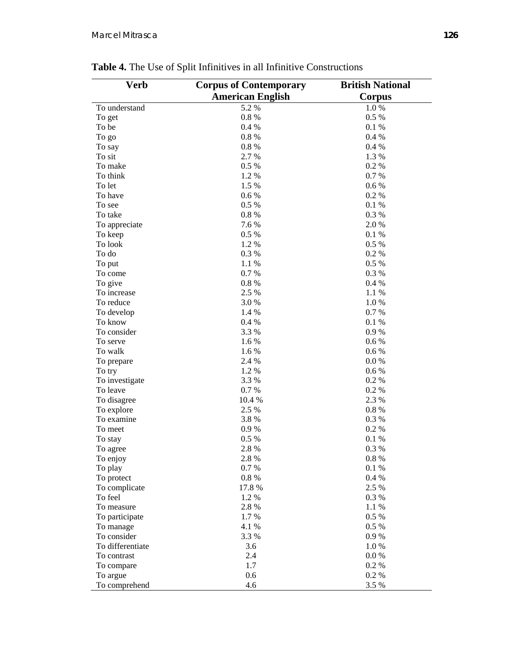| Verb                  | <b>Corpus of Contemporary</b><br><b>American English</b> | <b>British National</b><br>Corpus |
|-----------------------|----------------------------------------------------------|-----------------------------------|
| To understand         | 5.2 %                                                    | $1.0\ \%$                         |
| To get                | 0.8%                                                     | 0.5 %                             |
| To be                 | 0.4%                                                     | 0.1%                              |
| To go                 | 0.8%                                                     | 0.4%                              |
| To say                | 0.8%                                                     | 0.4%                              |
| To sit                | 2.7 %                                                    | 1.3 %                             |
| To make               | 0.5%                                                     | 0.2%                              |
| To think              | 1.2%                                                     | 0.7%                              |
| To let                | 1.5 %                                                    | 0.6 %                             |
| To have               | 0.6 %                                                    | 0.2%                              |
| To see                | 0.5 %                                                    | 0.1%                              |
| To take               | 0.8%                                                     | 0.3%                              |
| To appreciate         | 7.6 %                                                    | 2.0%                              |
| To keep               | 0.5%                                                     | 0.1%                              |
| To look               | 1.2 %                                                    | $0.5\%$                           |
| To do                 | 0.3%                                                     | 0.2 %                             |
| To put                | 1.1 %                                                    | $0.5\%$                           |
| To come               | 0.7%                                                     | 0.3%                              |
| To give               | 0.8%                                                     | 0.4 %                             |
| To increase           | 2.5 %                                                    | 1.1%                              |
| To reduce             | 3.0%                                                     | 1.0%                              |
| To develop            | 1.4 %                                                    | 0.7%                              |
| To know               | 0.4%                                                     | 0.1 %                             |
| To consider           | 3.3 %                                                    | 0.9%                              |
| To serve              | 1.6%                                                     | 0.6 %                             |
| To walk               | 1.6 %                                                    | 0.6 %                             |
| To prepare            | 2.4 %                                                    | 0.0 %                             |
| To try                | 1.2%                                                     | 0.6 %                             |
| To investigate        | 3.3 %                                                    | 0.2 %                             |
| To leave              | 0.7 %                                                    | 0.2%                              |
| To disagree           | 10.4 %                                                   | 2.3 %                             |
| To explore            | 2.5 %                                                    | $0.8~\%$                          |
| To examine            | 3.8%                                                     | 0.3%                              |
| To meet               | 0.9%                                                     | 0.2 %                             |
| To stay               | 0.5%                                                     | 0.1%                              |
| To agree              | 2.8%                                                     | 0.3%                              |
|                       | 2.8 %                                                    | $0.8\ \%$                         |
| To enjoy              | 0.7%                                                     | 0.1%                              |
| To play<br>To protect | 0.8%                                                     | 0.4 %                             |
|                       |                                                          |                                   |
| To complicate         | 17.8%                                                    | 2.5 %                             |
| To feel<br>To measure | 1.2%<br>2.8%                                             | 0.3%                              |
|                       |                                                          | 1.1 %                             |
| To participate        | 1.7%                                                     | 0.5 %                             |
| To manage             | 4.1 %                                                    | 0.5 %                             |
| To consider           | 3.3 %                                                    | 0.9%                              |
| To differentiate      | 3.6                                                      | 1.0%                              |
| To contrast           | 2.4                                                      | 0.0 %                             |
| To compare            | 1.7                                                      | 0.2 %                             |
| To argue              | 0.6                                                      | 0.2%                              |
| To comprehend         | 4.6                                                      | 3.5 %                             |

**Table 4.** The Use of Split Infinitives in all Infinitive Constructions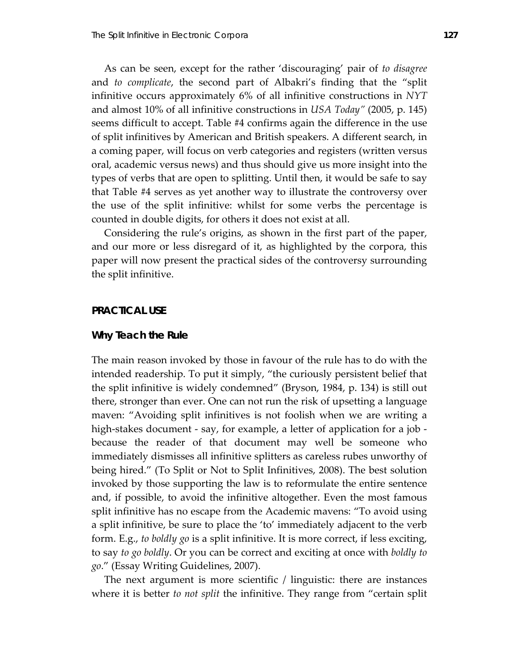As can be seen, except for the rather 'discouraging' pair of *to disagree* and *to complicate*, the second part of Albakri's finding that the "split infinitive occurs approximately 6% of all infinitive constructions in *NYT* and almost 10% of all infinitive constructions in *USA Today"* (2005, p. 145) seems difficult to accept. Table #4 confirms again the difference in the use of split infinitives by American and British speakers. A different search, in a coming paper, will focus on verb categories and registers (written versus oral, academic versus news) and thus should give us more insight into the types of verbs that are open to splitting. Until then, it would be safe to say that Table #4 serves as yet another way to illustrate the controversy over the use of the split infinitive: whilst for some verbs the percentage is counted in double digits, for others it does not exist at all.

 Considering the rule's origins, as shown in the first part of the paper, and our more or less disregard of it, as highlighted by the corpora, this paper will now present the practical sides of the controversy surrounding the split infinitive.

#### **PRACTICAL USE**

### **Why Teach the Rule**

The main reason invoked by those in favour of the rule has to do with the intended readership. To put it simply, "the curiously persistent belief that the split infinitive is widely condemned" (Bryson, 1984, p. 134) is still out there, stronger than ever. One can not run the risk of upsetting a language maven: "Avoiding split infinitives is not foolish when we are writing a high-stakes document - say, for example, a letter of application for a job because the reader of that document may well be someone who immediately dismisses all infinitive splitters as careless rubes unworthy of being hired." (To Split or Not to Split Infinitives, 2008). The best solution invoked by those supporting the law is to reformulate the entire sentence and, if possible, to avoid the infinitive altogether. Even the most famous split infinitive has no escape from the Academic mavens: "To avoid using a split infinitive, be sure to place the 'to' immediately adjacent to the verb form. E.g., *to boldly go* is a split infinitive. It is more correct, if less exciting, to say *to go boldly*. Or you can be correct and exciting at once with *boldly to go*." (Essay Writing Guidelines, 2007).

 The next argument is more scientific / linguistic: there are instances where it is better *to not split* the infinitive. They range from "certain split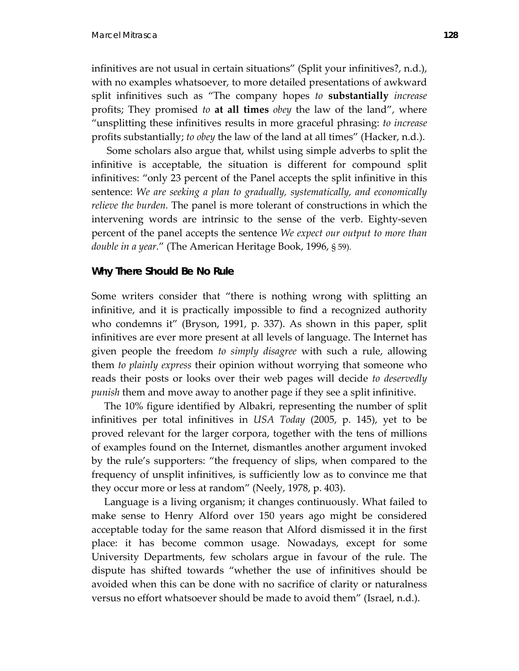infinitives are not usual in certain situations" (Split your infinitives?, n.d.), with no examples whatsoever, to more detailed presentations of awkward split infinitives such as "The company hopes *to* **substantially** *increase* profits; They promised *to* **at all times** *obey* the law of the land", where "unsplitting these infinitives results in more graceful phrasing: *to increase* profits substantially; *to obey* the law of the land at all times" (Hacker, n.d.).

 Some scholars also argue that, whilst using simple adverbs to split the infinitive is acceptable, the situation is different for compound split infinitives: "only 23 percent of the Panel accepts the split infinitive in this sentence: *We are seeking a plan to gradually, systematically, and economically relieve the burden.* The panel is more tolerant of constructions in which the intervening words are intrinsic to the sense of the verb. Eighty‐seven percent of the panel accepts the sentence *We expect our output to more than double in a year.*" (The American Heritage Book, 1996, § 59).

### **Why There Should Be No Rule**

Some writers consider that "there is nothing wrong with splitting an infinitive, and it is practically impossible to find a recognized authority who condemns it" (Bryson, 1991, p. 337). As shown in this paper, split infinitives are ever more present at all levels of language. The Internet has given people the freedom *to simply disagree* with such a rule, allowing them *to plainly express* their opinion without worrying that someone who reads their posts or looks over their web pages will decide *to deservedly punish* them and move away to another page if they see a split infinitive.

 The 10% figure identified by Albakri, representing the number of split infinitives per total infinitives in *USA Today* (2005, p. 145), yet to be proved relevant for the larger corpora, together with the tens of millions of examples found on the Internet, dismantles another argument invoked by the rule's supporters: "the frequency of slips, when compared to the frequency of unsplit infinitives, is sufficiently low as to convince me that they occur more or less at random" (Neely, 1978, p. 403).

 Language is a living organism; it changes continuously. What failed to make sense to Henry Alford over 150 years ago might be considered acceptable today for the same reason that Alford dismissed it in the first place: it has become common usage. Nowadays, except for some University Departments, few scholars argue in favour of the rule. The dispute has shifted towards "whether the use of infinitives should be avoided when this can be done with no sacrifice of clarity or naturalness versus no effort whatsoever should be made to avoid them" (Israel, n.d.).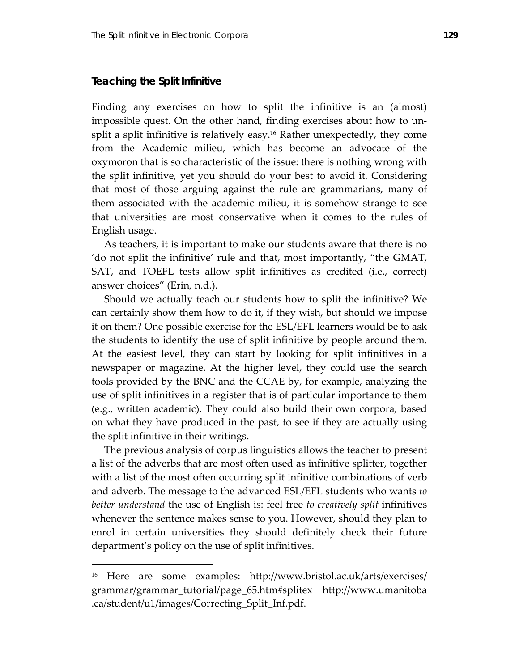#### **Teaching the Split Infinitive**

 $\overline{a}$ 

Finding any exercises on how to split the infinitive is an (almost) impossible quest. On the other hand, finding exercises about how to unsplit a split infinitive is relatively easy.<sup>16</sup> Rather unexpectedly, they come from the Academic milieu, which has become an advocate of the oxymoron that is so characteristic of the issue: there is nothing wrong with the split infinitive, yet you should do your best to avoid it. Considering that most of those arguing against the rule are grammarians, many of them associated with the academic milieu, it is somehow strange to see that universities are most conservative when it comes to the rules of English usage.

 As teachers, it is important to make our students aware that there is no 'do not split the infinitive' rule and that, most importantly, "the GMAT, SAT, and TOEFL tests allow split infinitives as credited (i.e., correct) answer choices" (Erin, n.d.).

 Should we actually teach our students how to split the infinitive? We can certainly show them how to do it, if they wish, but should we impose it on them? One possible exercise for the ESL/EFL learners would be to ask the students to identify the use of split infinitive by people around them. At the easiest level, they can start by looking for split infinitives in a newspaper or magazine. At the higher level, they could use the search tools provided by the BNC and the CCAE by, for example, analyzing the use of split infinitives in a register that is of particular importance to them (e.g., written academic). They could also build their own corpora, based on what they have produced in the past, to see if they are actually using the split infinitive in their writings.

 The previous analysis of corpus linguistics allows the teacher to present a list of the adverbs that are most often used as infinitive splitter, together with a list of the most often occurring split infinitive combinations of verb and adverb. The message to the advanced ESL/EFL students who wants *to better understand* the use of English is: feel free *to creatively split* infinitives whenever the sentence makes sense to you. However, should they plan to enrol in certain universities they should definitely check their future department's policy on the use of split infinitives.

<sup>16</sup> Here are some examples: http://www.bristol.ac.uk/arts/exercises/ grammar/grammar\_tutorial/page\_65.htm#splitex http://www.umanitoba .ca/student/u1/images/Correcting\_Split\_Inf.pdf.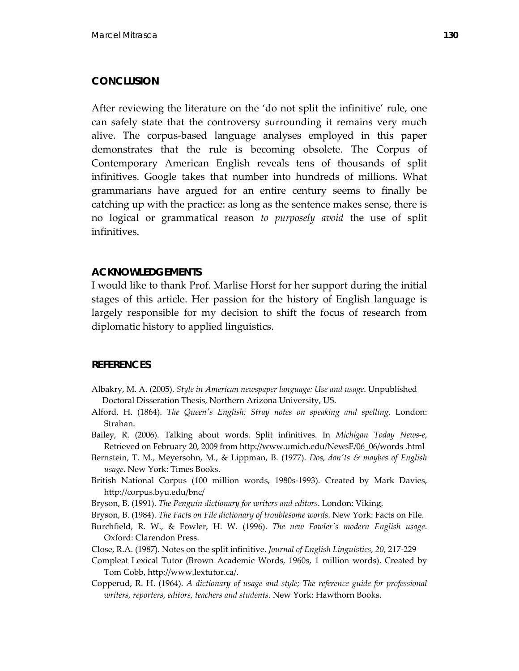# **CONCLUSION**

After reviewing the literature on the 'do not split the infinitive' rule, one can safely state that the controversy surrounding it remains very much alive. The corpus‐based language analyses employed in this paper demonstrates that the rule is becoming obsolete. The Corpus of Contemporary American English reveals tens of thousands of split infinitives. Google takes that number into hundreds of millions. What grammarians have argued for an entire century seems to finally be catching up with the practice: as long as the sentence makes sense, there is no logical or grammatical reason *to purposely avoid* the use of split infinitives.

## **ACKNOWLEDGEMENTS**

I would like to thank Prof. Marlise Horst for her support during the initial stages of this article. Her passion for the history of English language is largely responsible for my decision to shift the focus of research from diplomatic history to applied linguistics.

# **REFERENCES**

- Albakry, M. A. (2005). *Style in American newspaper language: Use and usage*. Unpublished Doctoral Disseration Thesis, Northern Arizona University, US.
- Alford, H. (1864). *The Queenʹs English; Stray notes on speaking and spelling*. London: Strahan.
- Bailey, R. (2006). Talking about words. Split infinitives. In *Michigan Today News‐e*, Retrieved on February 20, 2009 from http://www.umich.edu/NewsE/06\_06/words .html
- Bernstein, T. M., Meyersohn, M., & Lippman, B. (1977). *Dos, donʹts & maybes of English usage*. New York: Times Books.
- British National Corpus (100 million words, 1980s‐1993). Created by Mark Davies, http://corpus.byu.edu/bnc/
- Bryson, B. (1991). *The Penguin dictionary for writers and editors*. London: Viking.
- Bryson, B. (1984). *The Facts on File dictionary of troublesome words*. New York: Facts on File.
- Burchfield, R. W., & Fowler, H. W. (1996). *The new Fowlerʹs modern English usage*. Oxford: Clarendon Press.
- Close, R.A. (1987). Notes on the split infinitive. *Journal of English Linguistics, 20*, 217‐229
- Compleat Lexical Tutor (Brown Academic Words, 1960s, 1 million words). Created by Tom Cobb, http://www.lextutor.ca/.
- Copperud, R. H. (1964). *A dictionary of usage and style; The reference guide for professional writers, reporters, editors, teachers and students*. New York: Hawthorn Books.